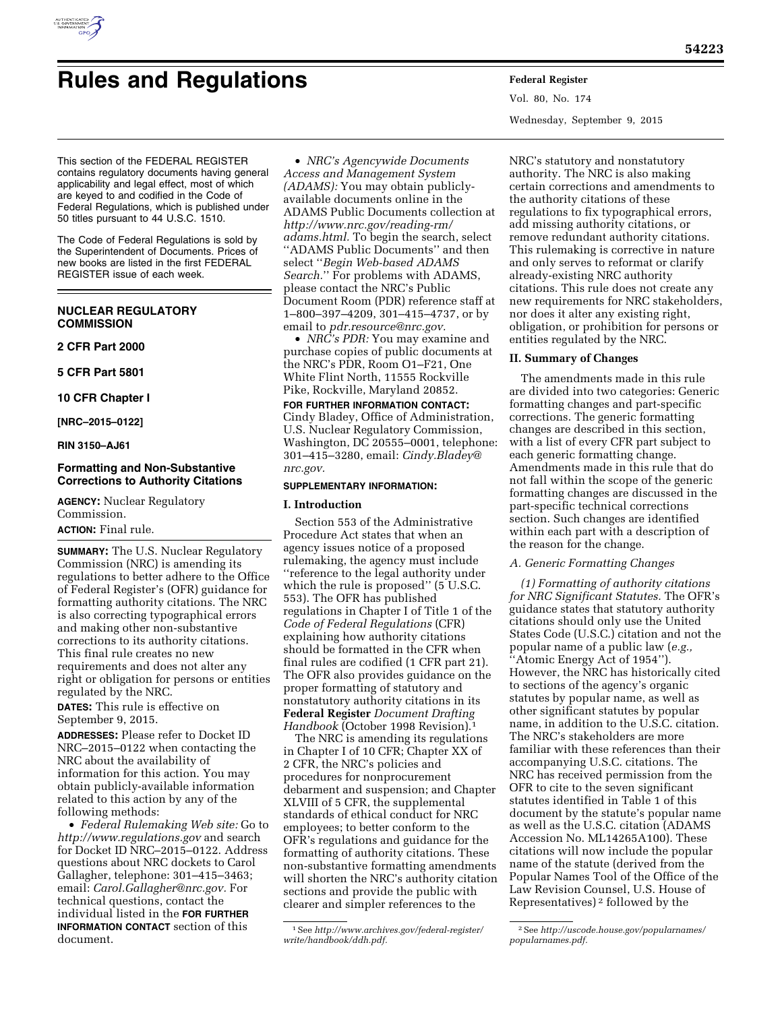

# **Rules and Regulations Federal Register**

Vol. 80, No. 174 Wednesday, September 9, 2015

This section of the FEDERAL REGISTER contains regulatory documents having general applicability and legal effect, most of which are keyed to and codified in the Code of Federal Regulations, which is published under 50 titles pursuant to 44 U.S.C. 1510.

The Code of Federal Regulations is sold by the Superintendent of Documents. Prices of new books are listed in the first FEDERAL REGISTER issue of each week.

# **NUCLEAR REGULATORY COMMISSION**

## **2 CFR Part 2000**

**5 CFR Part 5801** 

**10 CFR Chapter I** 

**[NRC–2015–0122]** 

**RIN 3150–AJ61** 

## **Formatting and Non-Substantive Corrections to Authority Citations**

**AGENCY:** Nuclear Regulatory Commission.

# **ACTION:** Final rule.

**SUMMARY:** The U.S. Nuclear Regulatory Commission (NRC) is amending its regulations to better adhere to the Office of Federal Register's (OFR) guidance for formatting authority citations. The NRC is also correcting typographical errors and making other non-substantive corrections to its authority citations. This final rule creates no new requirements and does not alter any right or obligation for persons or entities regulated by the NRC.

**DATES:** This rule is effective on September 9, 2015.

**ADDRESSES:** Please refer to Docket ID NRC–2015–0122 when contacting the NRC about the availability of information for this action. You may obtain publicly-available information related to this action by any of the following methods:

• *Federal Rulemaking Web site:* Go to *<http://www.regulations.gov>* and search for Docket ID NRC–2015–0122. Address questions about NRC dockets to Carol Gallagher, telephone: 301–415–3463; email: *[Carol.Gallagher@nrc.gov.](mailto:Carol.Gallagher@nrc.gov)* For technical questions, contact the individual listed in the **FOR FURTHER INFORMATION CONTACT** section of this document.

• *NRC's Agencywide Documents Access and Management System (ADAMS):* You may obtain publiclyavailable documents online in the ADAMS Public Documents collection at *[http://www.nrc.gov/reading-rm/](http://www.nrc.gov/reading-rm/adams.html) [adams.html.](http://www.nrc.gov/reading-rm/adams.html)* To begin the search, select ''ADAMS Public Documents'' and then select ''*Begin Web-based ADAMS Search.*'' For problems with ADAMS, please contact the NRC's Public Document Room (PDR) reference staff at 1–800–397–4209, 301–415–4737, or by email to *[pdr.resource@nrc.gov.](mailto:pdr.resource@nrc.gov)* 

• *NRC's PDR:* You may examine and purchase copies of public documents at the NRC's PDR, Room O1–F21, One White Flint North, 11555 Rockville Pike, Rockville, Maryland 20852.

**FOR FURTHER INFORMATION CONTACT:**  Cindy Bladey, Office of Administration, U.S. Nuclear Regulatory Commission, Washington, DC 20555–0001, telephone: 301–415–3280, email: *[Cindy.Bladey@](mailto:Cindy.Bladey@nrc.gov) [nrc.gov.](mailto:Cindy.Bladey@nrc.gov)* 

## **SUPPLEMENTARY INFORMATION:**

## **I. Introduction**

Section 553 of the Administrative Procedure Act states that when an agency issues notice of a proposed rulemaking, the agency must include ''reference to the legal authority under which the rule is proposed" (5 U.S.C. 553). The OFR has published regulations in Chapter I of Title 1 of the *Code of Federal Regulations* (CFR) explaining how authority citations should be formatted in the CFR when final rules are codified (1 CFR part 21). The OFR also provides guidance on the proper formatting of statutory and nonstatutory authority citations in its **Federal Register** *Document Drafting Handbook* (October 1998 Revision).1

The NRC is amending its regulations in Chapter I of 10 CFR; Chapter XX of 2 CFR, the NRC's policies and procedures for nonprocurement debarment and suspension; and Chapter XLVIII of 5 CFR, the supplemental standards of ethical conduct for NRC employees; to better conform to the OFR's regulations and guidance for the formatting of authority citations. These non-substantive formatting amendments will shorten the NRC's authority citation sections and provide the public with clearer and simpler references to the

NRC's statutory and nonstatutory authority. The NRC is also making certain corrections and amendments to the authority citations of these regulations to fix typographical errors, add missing authority citations, or remove redundant authority citations. This rulemaking is corrective in nature and only serves to reformat or clarify already-existing NRC authority citations. This rule does not create any new requirements for NRC stakeholders, nor does it alter any existing right, obligation, or prohibition for persons or entities regulated by the NRC.

#### **II. Summary of Changes**

The amendments made in this rule are divided into two categories: Generic formatting changes and part-specific corrections. The generic formatting changes are described in this section, with a list of every CFR part subject to each generic formatting change. Amendments made in this rule that do not fall within the scope of the generic formatting changes are discussed in the part-specific technical corrections section. Such changes are identified within each part with a description of the reason for the change.

#### *A. Generic Formatting Changes*

*(1) Formatting of authority citations for NRC Significant Statutes.* The OFR's guidance states that statutory authority citations should only use the United States Code (U.S.C.) citation and not the popular name of a public law (*e.g.,*  ''Atomic Energy Act of 1954''). However, the NRC has historically cited to sections of the agency's organic statutes by popular name, as well as other significant statutes by popular name, in addition to the U.S.C. citation. The NRC's stakeholders are more familiar with these references than their accompanying U.S.C. citations. The NRC has received permission from the OFR to cite to the seven significant statutes identified in Table 1 of this document by the statute's popular name as well as the U.S.C. citation (ADAMS Accession No. ML14265A100). These citations will now include the popular name of the statute (derived from the Popular Names Tool of the Office of the Law Revision Counsel, U.S. House of Representatives) 2 followed by the

<sup>1</sup>See *[http://www.archives.gov/federal-register/](http://www.archives.gov/federal-register/write/handbook/ddh.pdf) [write/handbook/ddh.pdf.](http://www.archives.gov/federal-register/write/handbook/ddh.pdf)* 

<sup>2</sup>See *[http://uscode.house.gov/popularnames/](http://uscode.house.gov/popularnames/popularnames.pdf) [popularnames.pdf.](http://uscode.house.gov/popularnames/popularnames.pdf)*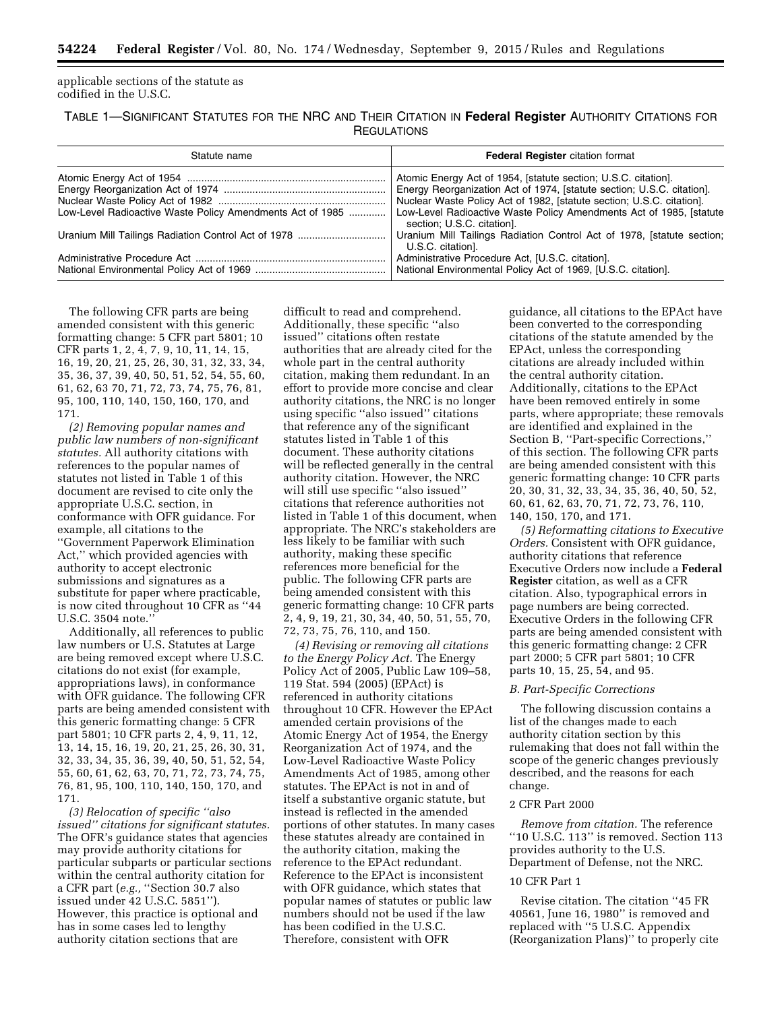applicable sections of the statute as codified in the U.S.C.

TABLE 1—SIGNIFICANT STATUTES FOR THE NRC AND THEIR CITATION IN **Federal Register** AUTHORITY CITATIONS FOR **REGULATIONS** 

| Statute name                                              | <b>Federal Register citation format</b>                                                           |
|-----------------------------------------------------------|---------------------------------------------------------------------------------------------------|
|                                                           | Atomic Energy Act of 1954, [statute section; U.S.C. citation].                                    |
|                                                           | Energy Reorganization Act of 1974, [statute section; U.S.C. citation].                            |
|                                                           | Nuclear Waste Policy Act of 1982, [statute section; U.S.C. citation].                             |
| Low-Level Radioactive Waste Policy Amendments Act of 1985 | Low-Level Radioactive Waste Policy Amendments Act of 1985, [statute<br>section; U.S.C. citation]. |
|                                                           | Uranium Mill Tailings Radiation Control Act of 1978, [statute section;<br>U.S.C. citation].       |
|                                                           | Administrative Procedure Act, [U.S.C. citation].                                                  |
|                                                           | National Environmental Policy Act of 1969, [U.S.C. citation].                                     |

The following CFR parts are being amended consistent with this generic formatting change: 5 CFR part 5801; 10 CFR parts 1, 2, 4, 7, 9, 10, 11, 14, 15, 16, 19, 20, 21, 25, 26, 30, 31, 32, 33, 34, 35, 36, 37, 39, 40, 50, 51, 52, 54, 55, 60, 61, 62, 63 70, 71, 72, 73, 74, 75, 76, 81, 95, 100, 110, 140, 150, 160, 170, and 171.

*(2) Removing popular names and public law numbers of non-significant statutes.* All authority citations with references to the popular names of statutes not listed in Table 1 of this document are revised to cite only the appropriate U.S.C. section, in conformance with OFR guidance. For example, all citations to the ''Government Paperwork Elimination Act,'' which provided agencies with authority to accept electronic submissions and signatures as a substitute for paper where practicable, is now cited throughout 10 CFR as ''44 U.S.C. 3504 note.''

Additionally, all references to public law numbers or U.S. Statutes at Large are being removed except where U.S.C. citations do not exist (for example, appropriations laws), in conformance with OFR guidance. The following CFR parts are being amended consistent with this generic formatting change: 5 CFR part 5801; 10 CFR parts 2, 4, 9, 11, 12, 13, 14, 15, 16, 19, 20, 21, 25, 26, 30, 31, 32, 33, 34, 35, 36, 39, 40, 50, 51, 52, 54, 55, 60, 61, 62, 63, 70, 71, 72, 73, 74, 75, 76, 81, 95, 100, 110, 140, 150, 170, and 171.

*(3) Relocation of specific ''also issued'' citations for significant statutes.*  The OFR's guidance states that agencies may provide authority citations for particular subparts or particular sections within the central authority citation for a CFR part (*e.g.,* ''Section 30.7 also issued under 42 U.S.C. 5851''). However, this practice is optional and has in some cases led to lengthy authority citation sections that are

difficult to read and comprehend. Additionally, these specific ''also issued'' citations often restate authorities that are already cited for the whole part in the central authority citation, making them redundant. In an effort to provide more concise and clear authority citations, the NRC is no longer using specific ''also issued'' citations that reference any of the significant statutes listed in Table 1 of this document. These authority citations will be reflected generally in the central authority citation. However, the NRC will still use specific "also issued" citations that reference authorities not listed in Table 1 of this document, when appropriate. The NRC's stakeholders are less likely to be familiar with such authority, making these specific references more beneficial for the public. The following CFR parts are being amended consistent with this generic formatting change: 10 CFR parts 2, 4, 9, 19, 21, 30, 34, 40, 50, 51, 55, 70, 72, 73, 75, 76, 110, and 150.

*(4) Revising or removing all citations to the Energy Policy Act.* The Energy Policy Act of 2005, Public Law 109–58, 119 Stat. 594 (2005) (EPAct) is referenced in authority citations throughout 10 CFR. However the EPAct amended certain provisions of the Atomic Energy Act of 1954, the Energy Reorganization Act of 1974, and the Low-Level Radioactive Waste Policy Amendments Act of 1985, among other statutes. The EPAct is not in and of itself a substantive organic statute, but instead is reflected in the amended portions of other statutes. In many cases these statutes already are contained in the authority citation, making the reference to the EPAct redundant. Reference to the EPAct is inconsistent with OFR guidance, which states that popular names of statutes or public law numbers should not be used if the law has been codified in the U.S.C. Therefore, consistent with OFR

guidance, all citations to the EPAct have been converted to the corresponding citations of the statute amended by the EPAct, unless the corresponding citations are already included within the central authority citation. Additionally, citations to the EPAct have been removed entirely in some parts, where appropriate; these removals are identified and explained in the Section B, ''Part-specific Corrections,'' of this section. The following CFR parts are being amended consistent with this generic formatting change: 10 CFR parts 20, 30, 31, 32, 33, 34, 35, 36, 40, 50, 52, 60, 61, 62, 63, 70, 71, 72, 73, 76, 110, 140, 150, 170, and 171.

*(5) Reformatting citations to Executive Orders.* Consistent with OFR guidance, authority citations that reference Executive Orders now include a **Federal Register** citation, as well as a CFR citation. Also, typographical errors in page numbers are being corrected. Executive Orders in the following CFR parts are being amended consistent with this generic formatting change: 2 CFR part 2000; 5 CFR part 5801; 10 CFR parts 10, 15, 25, 54, and 95.

#### *B. Part-Specific Corrections*

The following discussion contains a list of the changes made to each authority citation section by this rulemaking that does not fall within the scope of the generic changes previously described, and the reasons for each change.

#### 2 CFR Part 2000

*Remove from citation.* The reference ''10 U.S.C. 113'' is removed. Section 113 provides authority to the U.S. Department of Defense, not the NRC.

#### 10 CFR Part 1

Revise citation. The citation ''45 FR 40561, June 16, 1980'' is removed and replaced with ''5 U.S.C. Appendix (Reorganization Plans)'' to properly cite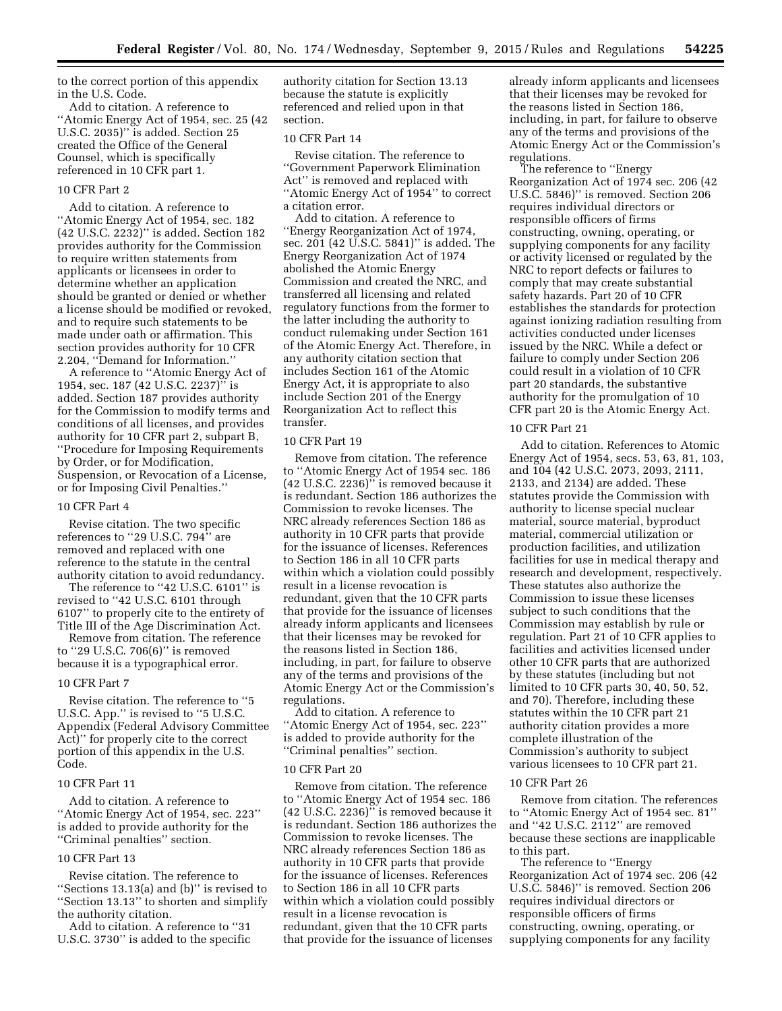to the correct portion of this appendix in the U.S. Code.

Add to citation. A reference to ''Atomic Energy Act of 1954, sec. 25 (42 U.S.C. 2035)'' is added. Section 25 created the Office of the General Counsel, which is specifically referenced in 10 CFR part 1.

## 10 CFR Part 2

Add to citation. A reference to ''Atomic Energy Act of 1954, sec. 182 (42 U.S.C. 2232)'' is added. Section 182 provides authority for the Commission to require written statements from applicants or licensees in order to determine whether an application should be granted or denied or whether a license should be modified or revoked, and to require such statements to be made under oath or affirmation. This section provides authority for 10 CFR 2.204, ''Demand for Information.''

A reference to ''Atomic Energy Act of 1954, sec. 187 (42 U.S.C. 2237)'' is added. Section 187 provides authority for the Commission to modify terms and conditions of all licenses, and provides authority for 10 CFR part 2, subpart B, ''Procedure for Imposing Requirements by Order, or for Modification, Suspension, or Revocation of a License, or for Imposing Civil Penalties.''

#### 10 CFR Part 4

Revise citation. The two specific references to ''29 U.S.C. 794'' are removed and replaced with one reference to the statute in the central authority citation to avoid redundancy.

The reference to "42 U.S.C. 6101" is revised to ''42 U.S.C. 6101 through 6107'' to properly cite to the entirety of Title III of the Age Discrimination Act.

Remove from citation. The reference to ''29 U.S.C. 706(6)'' is removed because it is a typographical error.

#### 10 CFR Part 7

Revise citation. The reference to ''5 U.S.C. App.'' is revised to ''5 U.S.C. Appendix (Federal Advisory Committee Act)'' for properly cite to the correct portion of this appendix in the U.S. Code.

## 10 CFR Part 11

Add to citation. A reference to ''Atomic Energy Act of 1954, sec. 223'' is added to provide authority for the ''Criminal penalties'' section.

#### 10 CFR Part 13

Revise citation. The reference to ''Sections 13.13(a) and (b)'' is revised to ''Section 13.13'' to shorten and simplify the authority citation.

Add to citation. A reference to ''31 U.S.C. 3730'' is added to the specific

authority citation for Section 13.13 because the statute is explicitly referenced and relied upon in that section.

## 10 CFR Part 14

Revise citation. The reference to ''Government Paperwork Elimination Act'' is removed and replaced with "Atomic Energy Act of 1954" to correct a citation error.

Add to citation. A reference to ''Energy Reorganization Act of 1974, sec. 201 (42 U.S.C. 5841)'' is added. The Energy Reorganization Act of 1974 abolished the Atomic Energy Commission and created the NRC, and transferred all licensing and related regulatory functions from the former to the latter including the authority to conduct rulemaking under Section 161 of the Atomic Energy Act. Therefore, in any authority citation section that includes Section 161 of the Atomic Energy Act, it is appropriate to also include Section 201 of the Energy Reorganization Act to reflect this transfer.

#### 10 CFR Part 19

Remove from citation. The reference to ''Atomic Energy Act of 1954 sec. 186  $(42 \text{ U.S.C. } 2236)$ <sup>"</sup> is removed because it is redundant. Section 186 authorizes the Commission to revoke licenses. The NRC already references Section 186 as authority in 10 CFR parts that provide for the issuance of licenses. References to Section 186 in all 10 CFR parts within which a violation could possibly result in a license revocation is redundant, given that the 10 CFR parts that provide for the issuance of licenses already inform applicants and licensees that their licenses may be revoked for the reasons listed in Section 186, including, in part, for failure to observe any of the terms and provisions of the Atomic Energy Act or the Commission's regulations.

Add to citation. A reference to ''Atomic Energy Act of 1954, sec. 223'' is added to provide authority for the ''Criminal penalties'' section.

#### 10 CFR Part 20

Remove from citation. The reference to ''Atomic Energy Act of 1954 sec. 186 (42 U.S.C. 2236)'' is removed because it is redundant. Section 186 authorizes the Commission to revoke licenses. The NRC already references Section 186 as authority in 10 CFR parts that provide for the issuance of licenses. References to Section 186 in all 10 CFR parts within which a violation could possibly result in a license revocation is redundant, given that the 10 CFR parts that provide for the issuance of licenses

already inform applicants and licensees that their licenses may be revoked for the reasons listed in Section 186, including, in part, for failure to observe any of the terms and provisions of the Atomic Energy Act or the Commission's regulations.

The reference to ''Energy Reorganization Act of 1974 sec. 206 (42 U.S.C. 5846)'' is removed. Section 206 requires individual directors or responsible officers of firms constructing, owning, operating, or supplying components for any facility or activity licensed or regulated by the NRC to report defects or failures to comply that may create substantial safety hazards. Part 20 of 10 CFR establishes the standards for protection against ionizing radiation resulting from activities conducted under licenses issued by the NRC. While a defect or failure to comply under Section 206 could result in a violation of 10 CFR part 20 standards, the substantive authority for the promulgation of 10 CFR part 20 is the Atomic Energy Act.

## 10 CFR Part 21

Add to citation. References to Atomic Energy Act of 1954, secs. 53, 63, 81, 103, and 104 (42 U.S.C. 2073, 2093, 2111, 2133, and 2134) are added. These statutes provide the Commission with authority to license special nuclear material, source material, byproduct material, commercial utilization or production facilities, and utilization facilities for use in medical therapy and research and development, respectively. These statutes also authorize the Commission to issue these licenses subject to such conditions that the Commission may establish by rule or regulation. Part 21 of 10 CFR applies to facilities and activities licensed under other 10 CFR parts that are authorized by these statutes (including but not limited to 10 CFR parts 30, 40, 50, 52, and 70). Therefore, including these statutes within the 10 CFR part 21 authority citation provides a more complete illustration of the Commission's authority to subject various licensees to 10 CFR part 21.

#### 10 CFR Part 26

Remove from citation. The references to ''Atomic Energy Act of 1954 sec. 81'' and ''42 U.S.C. 2112'' are removed because these sections are inapplicable to this part.

The reference to ''Energy Reorganization Act of 1974 sec. 206 (42 U.S.C. 5846)'' is removed. Section 206 requires individual directors or responsible officers of firms constructing, owning, operating, or supplying components for any facility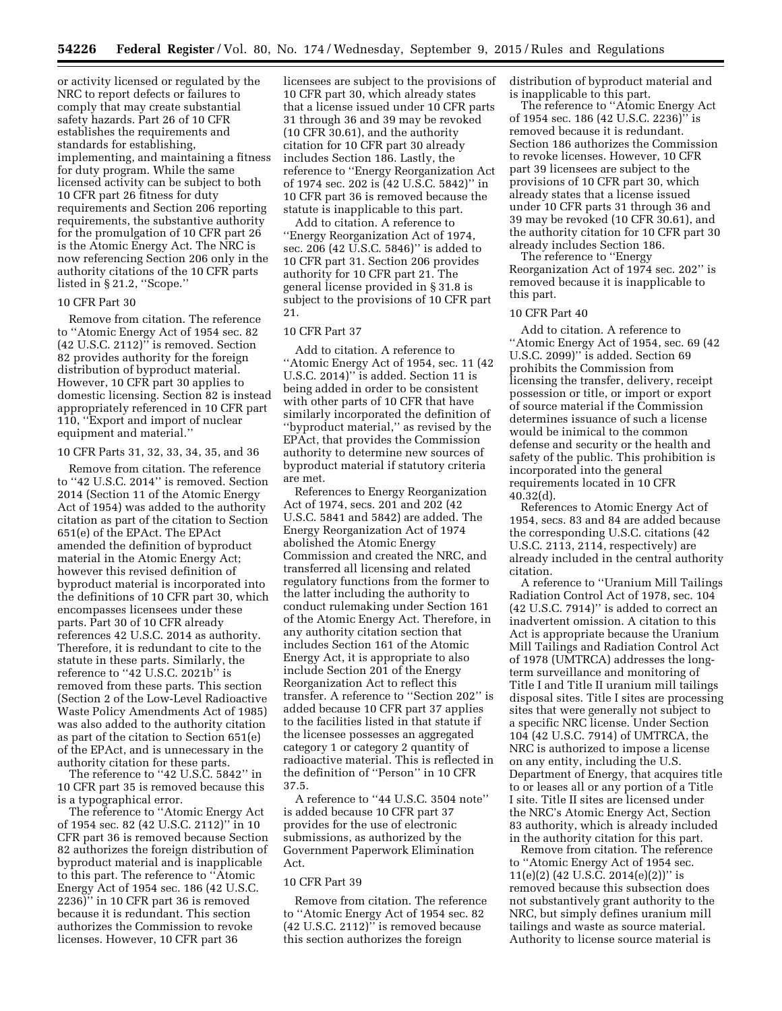or activity licensed or regulated by the NRC to report defects or failures to comply that may create substantial safety hazards. Part 26 of 10 CFR establishes the requirements and standards for establishing, implementing, and maintaining a fitness for duty program. While the same licensed activity can be subject to both 10 CFR part 26 fitness for duty requirements and Section 206 reporting requirements, the substantive authority for the promulgation of 10 CFR part 26 is the Atomic Energy Act. The NRC is now referencing Section 206 only in the authority citations of the 10 CFR parts listed in § 21.2, ''Scope.''

#### 10 CFR Part 30

Remove from citation. The reference to ''Atomic Energy Act of 1954 sec. 82 (42 U.S.C. 2112)'' is removed. Section 82 provides authority for the foreign distribution of byproduct material. However, 10 CFR part 30 applies to domestic licensing. Section 82 is instead appropriately referenced in 10 CFR part 110, ''Export and import of nuclear equipment and material.''

#### 10 CFR Parts 31, 32, 33, 34, 35, and 36

Remove from citation. The reference to ''42 U.S.C. 2014'' is removed. Section 2014 (Section 11 of the Atomic Energy Act of 1954) was added to the authority citation as part of the citation to Section 651(e) of the EPAct. The EPAct amended the definition of byproduct material in the Atomic Energy Act; however this revised definition of byproduct material is incorporated into the definitions of 10 CFR part 30, which encompasses licensees under these parts. Part 30 of 10 CFR already references 42 U.S.C. 2014 as authority. Therefore, it is redundant to cite to the statute in these parts. Similarly, the reference to ''42 U.S.C. 2021b'' is removed from these parts. This section (Section 2 of the Low-Level Radioactive Waste Policy Amendments Act of 1985) was also added to the authority citation as part of the citation to Section 651(e) of the EPAct, and is unnecessary in the authority citation for these parts.

The reference to ''42 U.S.C. 5842'' in 10 CFR part 35 is removed because this is a typographical error.

The reference to ''Atomic Energy Act of 1954 sec. 82 (42 U.S.C. 2112)'' in 10 CFR part 36 is removed because Section 82 authorizes the foreign distribution of byproduct material and is inapplicable to this part. The reference to ''Atomic Energy Act of 1954 sec. 186 (42 U.S.C. 2236)'' in 10 CFR part 36 is removed because it is redundant. This section authorizes the Commission to revoke licenses. However, 10 CFR part 36

licensees are subject to the provisions of 10 CFR part 30, which already states that a license issued under 10 CFR parts 31 through 36 and 39 may be revoked (10 CFR 30.61), and the authority citation for 10 CFR part 30 already includes Section 186. Lastly, the reference to ''Energy Reorganization Act of 1974 sec. 202 is (42 U.S.C. 5842)'' in 10 CFR part 36 is removed because the statute is inapplicable to this part.

Add to citation. A reference to ''Energy Reorganization Act of 1974, sec. 206 (42 U.S.C. 5846)'' is added to 10 CFR part 31. Section 206 provides authority for 10 CFR part 21. The general license provided in § 31.8 is subject to the provisions of 10 CFR part 21.

## 10 CFR Part 37

Add to citation. A reference to ''Atomic Energy Act of 1954, sec. 11 (42 U.S.C. 2014)'' is added. Section 11 is being added in order to be consistent with other parts of 10 CFR that have similarly incorporated the definition of ''byproduct material,'' as revised by the EPAct, that provides the Commission authority to determine new sources of byproduct material if statutory criteria are met.

References to Energy Reorganization Act of 1974, secs. 201 and 202 (42 U.S.C. 5841 and 5842) are added. The Energy Reorganization Act of 1974 abolished the Atomic Energy Commission and created the NRC, and transferred all licensing and related regulatory functions from the former to the latter including the authority to conduct rulemaking under Section 161 of the Atomic Energy Act. Therefore, in any authority citation section that includes Section 161 of the Atomic Energy Act, it is appropriate to also include Section 201 of the Energy Reorganization Act to reflect this transfer. A reference to ''Section 202'' is added because 10 CFR part 37 applies to the facilities listed in that statute if the licensee possesses an aggregated category 1 or category 2 quantity of radioactive material. This is reflected in the definition of ''Person'' in 10 CFR 37.5.

A reference to ''44 U.S.C. 3504 note'' is added because 10 CFR part 37 provides for the use of electronic submissions, as authorized by the Government Paperwork Elimination Act.

#### 10 CFR Part 39

Remove from citation. The reference to ''Atomic Energy Act of 1954 sec. 82 (42 U.S.C. 2112)'' is removed because this section authorizes the foreign

distribution of byproduct material and is inapplicable to this part.

The reference to ''Atomic Energy Act of 1954 sec. 186 (42 U.S.C. 2236)'' is removed because it is redundant. Section 186 authorizes the Commission to revoke licenses. However, 10 CFR part 39 licensees are subject to the provisions of 10 CFR part 30, which already states that a license issued under 10 CFR parts 31 through 36 and 39 may be revoked (10 CFR 30.61), and the authority citation for 10 CFR part 30 already includes Section 186.

The reference to ''Energy Reorganization Act of 1974 sec. 202'' is removed because it is inapplicable to this part.

## 10 CFR Part 40

Add to citation. A reference to ''Atomic Energy Act of 1954, sec. 69 (42 U.S.C. 2099)" is added. Section 69 prohibits the Commission from licensing the transfer, delivery, receipt possession or title, or import or export of source material if the Commission determines issuance of such a license would be inimical to the common defense and security or the health and safety of the public. This prohibition is incorporated into the general requirements located in 10 CFR 40.32(d).

References to Atomic Energy Act of 1954, secs. 83 and 84 are added because the corresponding U.S.C. citations (42 U.S.C. 2113, 2114, respectively) are already included in the central authority citation.

A reference to ''Uranium Mill Tailings Radiation Control Act of 1978, sec. 104 (42 U.S.C. 7914)'' is added to correct an inadvertent omission. A citation to this Act is appropriate because the Uranium Mill Tailings and Radiation Control Act of 1978 (UMTRCA) addresses the longterm surveillance and monitoring of Title I and Title II uranium mill tailings disposal sites. Title I sites are processing sites that were generally not subject to a specific NRC license. Under Section 104 (42 U.S.C. 7914) of UMTRCA, the NRC is authorized to impose a license on any entity, including the U.S. Department of Energy, that acquires title to or leases all or any portion of a Title I site. Title II sites are licensed under the NRC's Atomic Energy Act, Section 83 authority, which is already included in the authority citation for this part.

Remove from citation. The reference to ''Atomic Energy Act of 1954 sec. 11(e)(2) (42 U.S.C. 2014(e)(2))" is removed because this subsection does not substantively grant authority to the NRC, but simply defines uranium mill tailings and waste as source material. Authority to license source material is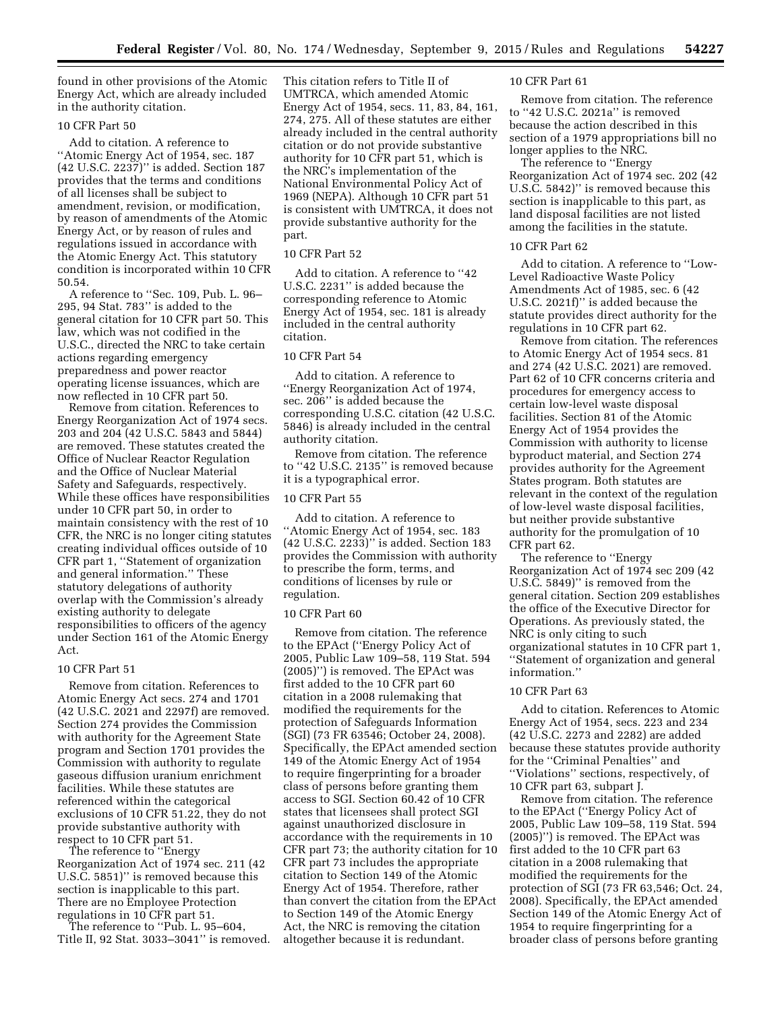found in other provisions of the Atomic Energy Act, which are already included in the authority citation.

# 10 CFR Part 50

Add to citation. A reference to ''Atomic Energy Act of 1954, sec. 187 (42 U.S.C. 2237)'' is added. Section 187 provides that the terms and conditions of all licenses shall be subject to amendment, revision, or modification, by reason of amendments of the Atomic Energy Act, or by reason of rules and regulations issued in accordance with the Atomic Energy Act. This statutory condition is incorporated within 10 CFR 50.54.

A reference to ''Sec. 109, Pub. L. 96– 295, 94 Stat. 783'' is added to the general citation for 10 CFR part 50. This law, which was not codified in the U.S.C., directed the NRC to take certain actions regarding emergency preparedness and power reactor operating license issuances, which are now reflected in 10 CFR part 50.

Remove from citation. References to Energy Reorganization Act of 1974 secs. 203 and 204 (42 U.S.C. 5843 and 5844) are removed. These statutes created the Office of Nuclear Reactor Regulation and the Office of Nuclear Material Safety and Safeguards, respectively. While these offices have responsibilities under 10 CFR part 50, in order to maintain consistency with the rest of 10 CFR, the NRC is no longer citing statutes creating individual offices outside of 10 CFR part 1, ''Statement of organization and general information.'' These statutory delegations of authority overlap with the Commission's already existing authority to delegate responsibilities to officers of the agency under Section 161 of the Atomic Energy Act.

## 10 CFR Part 51

Remove from citation. References to Atomic Energy Act secs. 274 and 1701 (42 U.S.C. 2021 and 2297f) are removed. Section 274 provides the Commission with authority for the Agreement State program and Section 1701 provides the Commission with authority to regulate gaseous diffusion uranium enrichment facilities. While these statutes are referenced within the categorical exclusions of 10 CFR 51.22, they do not provide substantive authority with respect to 10 CFR part 51.

The reference to ''Energy Reorganization Act of 1974 sec. 211 (42 U.S.C. 5851)'' is removed because this section is inapplicable to this part. There are no Employee Protection regulations in 10 CFR part 51.

The reference to ''Pub. L. 95–604, Title II, 92 Stat. 3033–3041'' is removed. This citation refers to Title II of UMTRCA, which amended Atomic Energy Act of 1954, secs. 11, 83, 84, 161, 274, 275. All of these statutes are either already included in the central authority citation or do not provide substantive authority for 10 CFR part 51, which is the NRC's implementation of the National Environmental Policy Act of 1969 (NEPA). Although 10 CFR part 51 is consistent with UMTRCA, it does not provide substantive authority for the part.

# 10 CFR Part 52

Add to citation. A reference to ''42 U.S.C. 2231'' is added because the corresponding reference to Atomic Energy Act of 1954, sec. 181 is already included in the central authority citation.

#### 10 CFR Part 54

Add to citation. A reference to ''Energy Reorganization Act of 1974, sec. 206'' is added because the corresponding U.S.C. citation (42 U.S.C. 5846) is already included in the central authority citation.

Remove from citation. The reference to ''42 U.S.C. 2135'' is removed because it is a typographical error.

# 10 CFR Part 55

Add to citation. A reference to ''Atomic Energy Act of 1954, sec. 183 (42 U.S.C. 2233)'' is added. Section 183 provides the Commission with authority to prescribe the form, terms, and conditions of licenses by rule or regulation.

#### 10 CFR Part 60

Remove from citation. The reference to the EPAct (''Energy Policy Act of 2005, Public Law 109–58, 119 Stat. 594 (2005)'') is removed. The EPAct was first added to the 10 CFR part 60 citation in a 2008 rulemaking that modified the requirements for the protection of Safeguards Information (SGI) (73 FR 63546; October 24, 2008). Specifically, the EPAct amended section 149 of the Atomic Energy Act of 1954 to require fingerprinting for a broader class of persons before granting them access to SGI. Section 60.42 of 10 CFR states that licensees shall protect SGI against unauthorized disclosure in accordance with the requirements in 10 CFR part 73; the authority citation for 10 CFR part 73 includes the appropriate citation to Section 149 of the Atomic Energy Act of 1954. Therefore, rather than convert the citation from the EPAct to Section 149 of the Atomic Energy Act, the NRC is removing the citation altogether because it is redundant.

#### 10 CFR Part 61

Remove from citation. The reference to ''42 U.S.C. 2021a'' is removed because the action described in this section of a 1979 appropriations bill no longer applies to the NRC.

The reference to ''Energy Reorganization Act of 1974 sec. 202 (42 U.S.C. 5842)'' is removed because this section is inapplicable to this part, as land disposal facilities are not listed among the facilities in the statute.

## 10 CFR Part 62

Add to citation. A reference to ''Low-Level Radioactive Waste Policy Amendments Act of 1985, sec. 6 (42 U.S.C. 2021f)'' is added because the statute provides direct authority for the regulations in 10 CFR part 62.

Remove from citation. The references to Atomic Energy Act of 1954 secs. 81 and 274 (42 U.S.C. 2021) are removed. Part 62 of 10 CFR concerns criteria and procedures for emergency access to certain low-level waste disposal facilities. Section 81 of the Atomic Energy Act of 1954 provides the Commission with authority to license byproduct material, and Section 274 provides authority for the Agreement States program. Both statutes are relevant in the context of the regulation of low-level waste disposal facilities, but neither provide substantive authority for the promulgation of 10 CFR part 62.

The reference to ''Energy Reorganization Act of 1974 sec 209 (42 U.S.C. 5849)'' is removed from the general citation. Section 209 establishes the office of the Executive Director for Operations. As previously stated, the NRC is only citing to such organizational statutes in 10 CFR part 1, ''Statement of organization and general information.''

#### 10 CFR Part 63

Add to citation. References to Atomic Energy Act of 1954, secs. 223 and 234 (42 U.S.C. 2273 and 2282) are added because these statutes provide authority for the ''Criminal Penalties'' and ''Violations'' sections, respectively, of 10 CFR part 63, subpart J.

Remove from citation. The reference to the EPAct (''Energy Policy Act of 2005, Public Law 109–58, 119 Stat. 594 (2005)'') is removed. The EPAct was first added to the 10 CFR part 63 citation in a 2008 rulemaking that modified the requirements for the protection of SGI (73 FR 63,546; Oct. 24, 2008). Specifically, the EPAct amended Section 149 of the Atomic Energy Act of 1954 to require fingerprinting for a broader class of persons before granting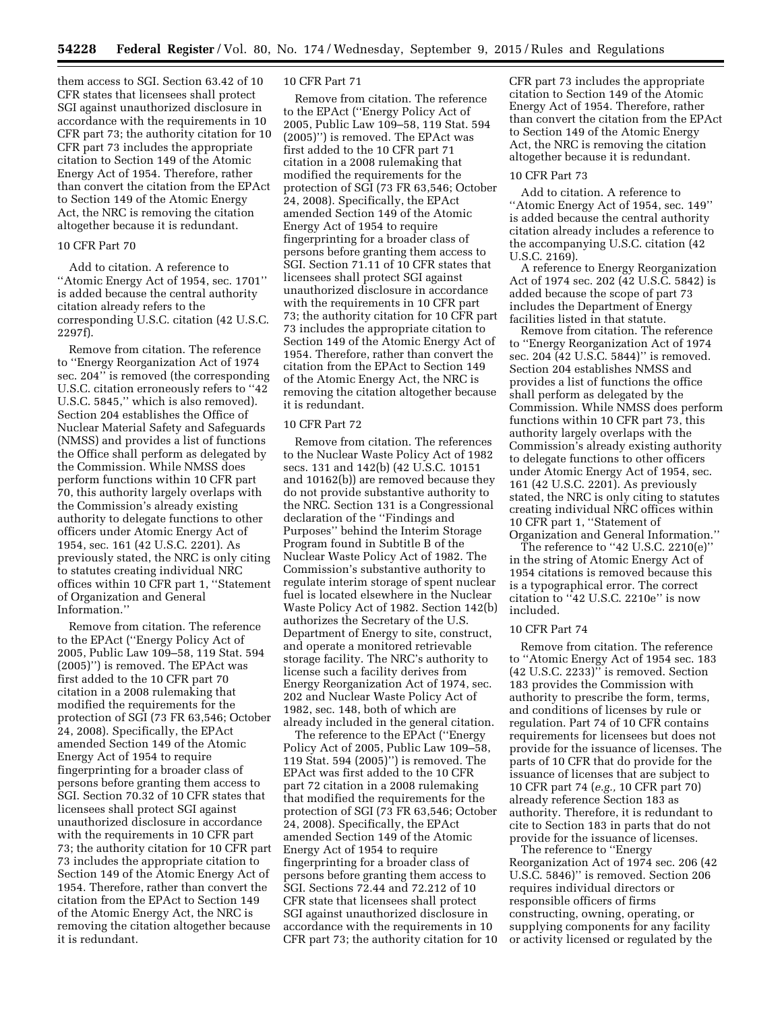them access to SGI. Section 63.42 of 10 CFR states that licensees shall protect SGI against unauthorized disclosure in accordance with the requirements in 10 CFR part 73; the authority citation for 10 CFR part 73 includes the appropriate citation to Section 149 of the Atomic Energy Act of 1954. Therefore, rather than convert the citation from the EPAct to Section 149 of the Atomic Energy Act, the NRC is removing the citation altogether because it is redundant.

# 10 CFR Part 70

Add to citation. A reference to ''Atomic Energy Act of 1954, sec. 1701'' is added because the central authority citation already refers to the corresponding U.S.C. citation (42 U.S.C. 2297f).

Remove from citation. The reference to ''Energy Reorganization Act of 1974 sec. 204'' is removed (the corresponding U.S.C. citation erroneously refers to ''42 U.S.C. 5845,'' which is also removed). Section 204 establishes the Office of Nuclear Material Safety and Safeguards (NMSS) and provides a list of functions the Office shall perform as delegated by the Commission. While NMSS does perform functions within 10 CFR part 70, this authority largely overlaps with the Commission's already existing authority to delegate functions to other officers under Atomic Energy Act of 1954, sec. 161 (42 U.S.C. 2201). As previously stated, the NRC is only citing to statutes creating individual NRC offices within 10 CFR part 1, ''Statement of Organization and General Information.''

Remove from citation. The reference to the EPAct (''Energy Policy Act of 2005, Public Law 109–58, 119 Stat. 594 (2005)'') is removed. The EPAct was first added to the 10 CFR part 70 citation in a 2008 rulemaking that modified the requirements for the protection of SGI (73 FR 63,546; October 24, 2008). Specifically, the EPAct amended Section 149 of the Atomic Energy Act of 1954 to require fingerprinting for a broader class of persons before granting them access to SGI. Section 70.32 of 10 CFR states that licensees shall protect SGI against unauthorized disclosure in accordance with the requirements in 10 CFR part 73; the authority citation for 10 CFR part 73 includes the appropriate citation to Section 149 of the Atomic Energy Act of 1954. Therefore, rather than convert the citation from the EPAct to Section 149 of the Atomic Energy Act, the NRC is removing the citation altogether because it is redundant.

## 10 CFR Part 71

Remove from citation. The reference to the EPAct (''Energy Policy Act of 2005, Public Law 109–58, 119 Stat. 594 (2005)'') is removed. The EPAct was first added to the 10 CFR part 71 citation in a 2008 rulemaking that modified the requirements for the protection of SGI (73 FR 63,546; October 24, 2008). Specifically, the EPAct amended Section 149 of the Atomic Energy Act of 1954 to require fingerprinting for a broader class of persons before granting them access to SGI. Section 71.11 of 10 CFR states that licensees shall protect SGI against unauthorized disclosure in accordance with the requirements in 10 CFR part 73; the authority citation for 10 CFR part 73 includes the appropriate citation to Section 149 of the Atomic Energy Act of 1954. Therefore, rather than convert the citation from the EPAct to Section 149 of the Atomic Energy Act, the NRC is removing the citation altogether because it is redundant.

#### 10 CFR Part 72

Remove from citation. The references to the Nuclear Waste Policy Act of 1982 secs. 131 and 142(b) (42 U.S.C. 10151 and 10162(b)) are removed because they do not provide substantive authority to the NRC. Section 131 is a Congressional declaration of the ''Findings and Purposes'' behind the Interim Storage Program found in Subtitle B of the Nuclear Waste Policy Act of 1982. The Commission's substantive authority to regulate interim storage of spent nuclear fuel is located elsewhere in the Nuclear Waste Policy Act of 1982. Section 142(b) authorizes the Secretary of the U.S. Department of Energy to site, construct, and operate a monitored retrievable storage facility. The NRC's authority to license such a facility derives from Energy Reorganization Act of 1974, sec. 202 and Nuclear Waste Policy Act of 1982, sec. 148, both of which are already included in the general citation.

The reference to the EPAct (''Energy Policy Act of 2005, Public Law 109–58, 119 Stat. 594 (2005)'') is removed. The EPAct was first added to the 10 CFR part 72 citation in a 2008 rulemaking that modified the requirements for the protection of SGI (73 FR 63,546; October 24, 2008). Specifically, the EPAct amended Section 149 of the Atomic Energy Act of 1954 to require fingerprinting for a broader class of persons before granting them access to SGI. Sections 72.44 and 72.212 of 10 CFR state that licensees shall protect SGI against unauthorized disclosure in accordance with the requirements in 10 CFR part 73; the authority citation for 10

CFR part 73 includes the appropriate citation to Section 149 of the Atomic Energy Act of 1954. Therefore, rather than convert the citation from the EPAct to Section 149 of the Atomic Energy Act, the NRC is removing the citation altogether because it is redundant.

#### 10 CFR Part 73

Add to citation. A reference to ''Atomic Energy Act of 1954, sec. 149'' is added because the central authority citation already includes a reference to the accompanying U.S.C. citation (42 U.S.C. 2169).

A reference to Energy Reorganization Act of 1974 sec. 202 (42 U.S.C. 5842) is added because the scope of part 73 includes the Department of Energy facilities listed in that statute.

Remove from citation. The reference to ''Energy Reorganization Act of 1974 sec. 204 (42 U.S.C. 5844)'' is removed. Section 204 establishes NMSS and provides a list of functions the office shall perform as delegated by the Commission. While NMSS does perform functions within 10 CFR part 73, this authority largely overlaps with the Commission's already existing authority to delegate functions to other officers under Atomic Energy Act of 1954, sec. 161 (42 U.S.C. 2201). As previously stated, the NRC is only citing to statutes creating individual NRC offices within 10 CFR part 1, ''Statement of Organization and General Information.''

The reference to "42 U.S.C. 2210(e)" in the string of Atomic Energy Act of 1954 citations is removed because this is a typographical error. The correct citation to ''42 U.S.C. 2210e'' is now included.

# 10 CFR Part 74

Remove from citation. The reference to ''Atomic Energy Act of 1954 sec. 183 (42 U.S.C. 2233)'' is removed. Section 183 provides the Commission with authority to prescribe the form, terms, and conditions of licenses by rule or regulation. Part 74 of 10 CFR contains requirements for licensees but does not provide for the issuance of licenses. The parts of 10 CFR that do provide for the issuance of licenses that are subject to 10 CFR part 74 (*e.g.,* 10 CFR part 70) already reference Section 183 as authority. Therefore, it is redundant to cite to Section 183 in parts that do not provide for the issuance of licenses.

The reference to ''Energy Reorganization Act of 1974 sec. 206 (42 U.S.C. 5846)'' is removed. Section 206 requires individual directors or responsible officers of firms constructing, owning, operating, or supplying components for any facility or activity licensed or regulated by the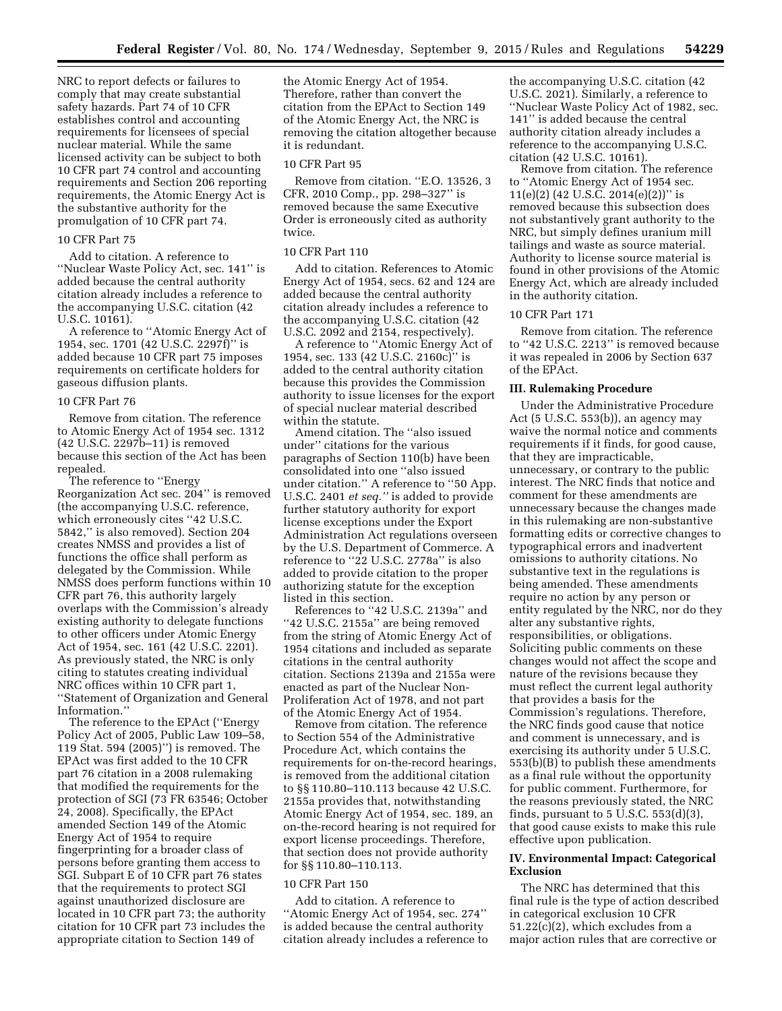NRC to report defects or failures to comply that may create substantial safety hazards. Part 74 of 10 CFR establishes control and accounting requirements for licensees of special nuclear material. While the same licensed activity can be subject to both 10 CFR part 74 control and accounting requirements and Section 206 reporting requirements, the Atomic Energy Act is the substantive authority for the promulgation of 10 CFR part 74.

#### 10 CFR Part 75

Add to citation. A reference to ''Nuclear Waste Policy Act, sec. 141'' is added because the central authority citation already includes a reference to the accompanying U.S.C. citation (42 U.S.C. 10161).

A reference to ''Atomic Energy Act of 1954, sec. 1701 (42 U.S.C. 2297f)'' is added because 10 CFR part 75 imposes requirements on certificate holders for gaseous diffusion plants.

#### 10 CFR Part 76

Remove from citation. The reference to Atomic Energy Act of 1954 sec. 1312 (42 U.S.C. 2297b–11) is removed because this section of the Act has been repealed.

The reference to ''Energy Reorganization Act sec. 204'' is removed (the accompanying U.S.C. reference, which erroneously cites ''42 U.S.C. 5842,'' is also removed). Section 204 creates NMSS and provides a list of functions the office shall perform as delegated by the Commission. While NMSS does perform functions within 10 CFR part 76, this authority largely overlaps with the Commission's already existing authority to delegate functions to other officers under Atomic Energy Act of 1954, sec. 161 (42 U.S.C. 2201). As previously stated, the NRC is only citing to statutes creating individual NRC offices within 10 CFR part 1, ''Statement of Organization and General Information.''

The reference to the EPAct (''Energy Policy Act of 2005, Public Law 109–58, 119 Stat. 594 (2005)'') is removed. The EPAct was first added to the 10 CFR part 76 citation in a 2008 rulemaking that modified the requirements for the protection of SGI (73 FR 63546; October 24, 2008). Specifically, the EPAct amended Section 149 of the Atomic Energy Act of 1954 to require fingerprinting for a broader class of persons before granting them access to SGI. Subpart E of 10 CFR part 76 states that the requirements to protect SGI against unauthorized disclosure are located in 10 CFR part 73; the authority citation for 10 CFR part 73 includes the appropriate citation to Section 149 of

the Atomic Energy Act of 1954. Therefore, rather than convert the citation from the EPAct to Section 149 of the Atomic Energy Act, the NRC is removing the citation altogether because it is redundant.

#### 10 CFR Part 95

Remove from citation. ''E.O. 13526, 3 CFR, 2010 Comp., pp. 298–327'' is removed because the same Executive Order is erroneously cited as authority twice.

#### 10 CFR Part 110

Add to citation. References to Atomic Energy Act of 1954, secs. 62 and 124 are added because the central authority citation already includes a reference to the accompanying U.S.C. citation (42 U.S.C. 2092 and 2154, respectively).

A reference to ''Atomic Energy Act of 1954, sec. 133 (42 U.S.C. 2160c)'' is added to the central authority citation because this provides the Commission authority to issue licenses for the export of special nuclear material described within the statute.

Amend citation. The ''also issued under'' citations for the various paragraphs of Section 110(b) have been consolidated into one ''also issued under citation.'' A reference to ''50 App. U.S.C. 2401 *et seq.''* is added to provide further statutory authority for export license exceptions under the Export Administration Act regulations overseen by the U.S. Department of Commerce. A reference to ''22 U.S.C. 2778a'' is also added to provide citation to the proper authorizing statute for the exception listed in this section.

References to ''42 U.S.C. 2139a'' and ''42 U.S.C. 2155a'' are being removed from the string of Atomic Energy Act of 1954 citations and included as separate citations in the central authority citation. Sections 2139a and 2155a were enacted as part of the Nuclear Non-Proliferation Act of 1978, and not part of the Atomic Energy Act of 1954.

Remove from citation. The reference to Section 554 of the Administrative Procedure Act, which contains the requirements for on-the-record hearings, is removed from the additional citation to §§ 110.80–110.113 because 42 U.S.C. 2155a provides that, notwithstanding Atomic Energy Act of 1954, sec. 189, an on-the-record hearing is not required for export license proceedings. Therefore, that section does not provide authority for §§ 110.80–110.113.

## 10 CFR Part 150

Add to citation. A reference to ''Atomic Energy Act of 1954, sec. 274'' is added because the central authority citation already includes a reference to

the accompanying U.S.C. citation (42 U.S.C. 2021). Similarly, a reference to ''Nuclear Waste Policy Act of 1982, sec. 141'' is added because the central authority citation already includes a reference to the accompanying U.S.C. citation (42 U.S.C. 10161).

Remove from citation. The reference to ''Atomic Energy Act of 1954 sec. 11(e)(2) (42 U.S.C. 2014(e)(2))" is removed because this subsection does not substantively grant authority to the NRC, but simply defines uranium mill tailings and waste as source material. Authority to license source material is found in other provisions of the Atomic Energy Act, which are already included in the authority citation.

# 10 CFR Part 171

Remove from citation. The reference to ''42 U.S.C. 2213'' is removed because it was repealed in 2006 by Section 637 of the EPAct.

#### **III. Rulemaking Procedure**

Under the Administrative Procedure Act (5 U.S.C. 553(b)), an agency may waive the normal notice and comments requirements if it finds, for good cause, that they are impracticable, unnecessary, or contrary to the public interest. The NRC finds that notice and comment for these amendments are unnecessary because the changes made in this rulemaking are non-substantive formatting edits or corrective changes to typographical errors and inadvertent omissions to authority citations. No substantive text in the regulations is being amended. These amendments require no action by any person or entity regulated by the NRC, nor do they alter any substantive rights, responsibilities, or obligations. Soliciting public comments on these changes would not affect the scope and nature of the revisions because they must reflect the current legal authority that provides a basis for the Commission's regulations. Therefore, the NRC finds good cause that notice and comment is unnecessary, and is exercising its authority under 5 U.S.C. 553(b)(B) to publish these amendments as a final rule without the opportunity for public comment. Furthermore, for the reasons previously stated, the NRC finds, pursuant to  $5$  U.S.C.  $553(d)(3)$ , that good cause exists to make this rule effective upon publication.

## **IV. Environmental Impact: Categorical Exclusion**

The NRC has determined that this final rule is the type of action described in categorical exclusion 10 CFR 51.22(c)(2), which excludes from a major action rules that are corrective or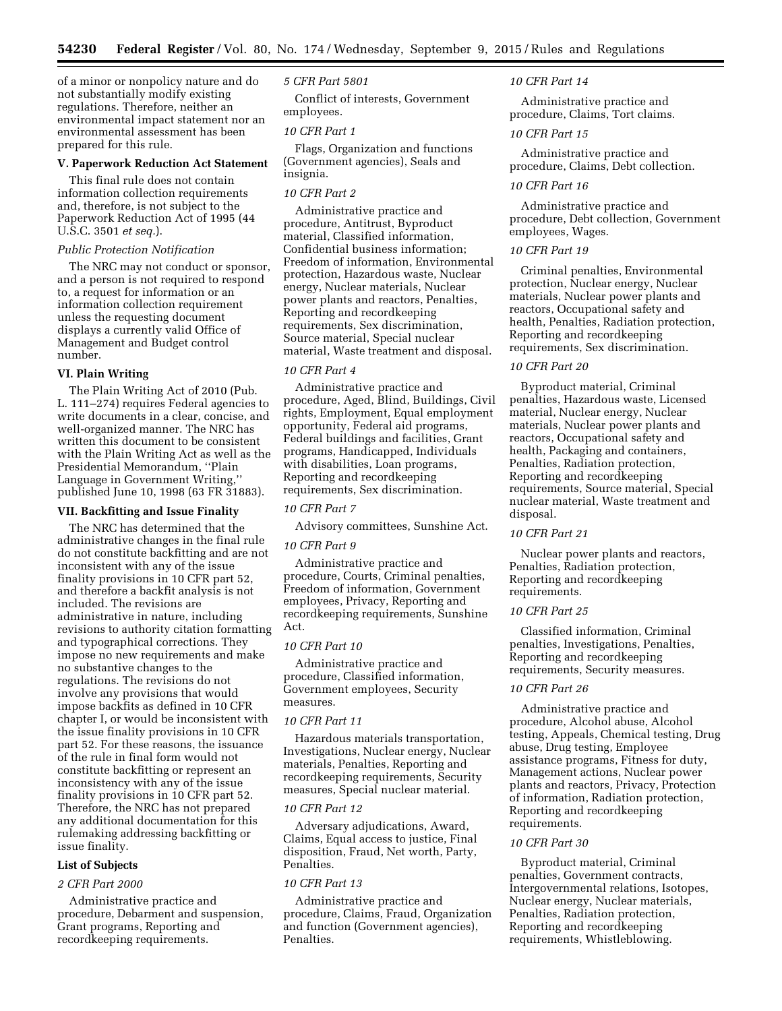of a minor or nonpolicy nature and do not substantially modify existing regulations. Therefore, neither an environmental impact statement nor an environmental assessment has been prepared for this rule.

#### **V. Paperwork Reduction Act Statement**

This final rule does not contain information collection requirements and, therefore, is not subject to the Paperwork Reduction Act of 1995 (44 U.S.C. 3501 *et seq.*).

## *Public Protection Notification*

The NRC may not conduct or sponsor, and a person is not required to respond to, a request for information or an information collection requirement unless the requesting document displays a currently valid Office of Management and Budget control number.

#### **VI. Plain Writing**

The Plain Writing Act of 2010 (Pub. L. 111–274) requires Federal agencies to write documents in a clear, concise, and well-organized manner. The NRC has written this document to be consistent with the Plain Writing Act as well as the Presidential Memorandum, ''Plain Language in Government Writing,'' published June 10, 1998 (63 FR 31883).

## **VII. Backfitting and Issue Finality**

The NRC has determined that the administrative changes in the final rule do not constitute backfitting and are not inconsistent with any of the issue finality provisions in 10 CFR part 52, and therefore a backfit analysis is not included. The revisions are administrative in nature, including revisions to authority citation formatting and typographical corrections. They impose no new requirements and make no substantive changes to the regulations. The revisions do not involve any provisions that would impose backfits as defined in 10 CFR chapter I, or would be inconsistent with the issue finality provisions in 10 CFR part 52. For these reasons, the issuance of the rule in final form would not constitute backfitting or represent an inconsistency with any of the issue finality provisions in 10 CFR part 52. Therefore, the NRC has not prepared any additional documentation for this rulemaking addressing backfitting or issue finality.

## **List of Subjects**

## *2 CFR Part 2000*

Administrative practice and procedure, Debarment and suspension, Grant programs, Reporting and recordkeeping requirements.

#### *5 CFR Part 5801*

Conflict of interests, Government employees.

## *10 CFR Part 1*

Flags, Organization and functions (Government agencies), Seals and insignia.

## *10 CFR Part 2*

Administrative practice and procedure, Antitrust, Byproduct material, Classified information, Confidential business information; Freedom of information, Environmental protection, Hazardous waste, Nuclear energy, Nuclear materials, Nuclear power plants and reactors, Penalties, Reporting and recordkeeping requirements, Sex discrimination, Source material, Special nuclear material, Waste treatment and disposal.

# *10 CFR Part 4*

Administrative practice and procedure, Aged, Blind, Buildings, Civil rights, Employment, Equal employment opportunity, Federal aid programs, Federal buildings and facilities, Grant programs, Handicapped, Individuals with disabilities, Loan programs, Reporting and recordkeeping requirements, Sex discrimination.

## *10 CFR Part 7*

Advisory committees, Sunshine Act.

## *10 CFR Part 9*

Administrative practice and procedure, Courts, Criminal penalties, Freedom of information, Government employees, Privacy, Reporting and recordkeeping requirements, Sunshine Act.

#### *10 CFR Part 10*

Administrative practice and procedure, Classified information, Government employees, Security measures.

## *10 CFR Part 11*

Hazardous materials transportation, Investigations, Nuclear energy, Nuclear materials, Penalties, Reporting and recordkeeping requirements, Security measures, Special nuclear material.

## *10 CFR Part 12*

Adversary adjudications, Award, Claims, Equal access to justice, Final disposition, Fraud, Net worth, Party, Penalties.

## *10 CFR Part 13*

Administrative practice and procedure, Claims, Fraud, Organization and function (Government agencies), Penalties.

#### *10 CFR Part 14*

Administrative practice and procedure, Claims, Tort claims.

## *10 CFR Part 15*

Administrative practice and procedure, Claims, Debt collection.

#### *10 CFR Part 16*

Administrative practice and procedure, Debt collection, Government employees, Wages.

# *10 CFR Part 19*

Criminal penalties, Environmental protection, Nuclear energy, Nuclear materials, Nuclear power plants and reactors, Occupational safety and health, Penalties, Radiation protection, Reporting and recordkeeping requirements, Sex discrimination.

## *10 CFR Part 20*

Byproduct material, Criminal penalties, Hazardous waste, Licensed material, Nuclear energy, Nuclear materials, Nuclear power plants and reactors, Occupational safety and health, Packaging and containers, Penalties, Radiation protection, Reporting and recordkeeping requirements, Source material, Special nuclear material, Waste treatment and disposal.

## *10 CFR Part 21*

Nuclear power plants and reactors, Penalties, Radiation protection, Reporting and recordkeeping requirements.

# *10 CFR Part 25*

Classified information, Criminal penalties, Investigations, Penalties, Reporting and recordkeeping requirements, Security measures.

# *10 CFR Part 26*

Administrative practice and procedure, Alcohol abuse, Alcohol testing, Appeals, Chemical testing, Drug abuse, Drug testing, Employee assistance programs, Fitness for duty, Management actions, Nuclear power plants and reactors, Privacy, Protection of information, Radiation protection, Reporting and recordkeeping requirements.

## *10 CFR Part 30*

Byproduct material, Criminal penalties, Government contracts, Intergovernmental relations, Isotopes, Nuclear energy, Nuclear materials, Penalties, Radiation protection, Reporting and recordkeeping requirements, Whistleblowing.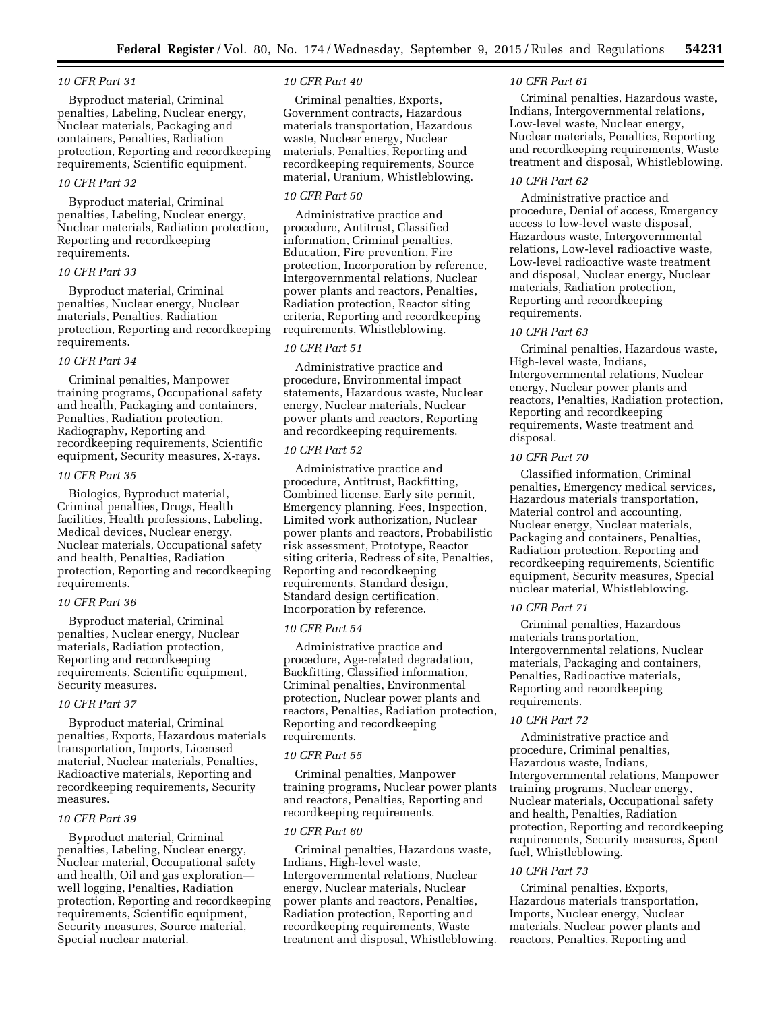## *10 CFR Part 31*

Byproduct material, Criminal penalties, Labeling, Nuclear energy, Nuclear materials, Packaging and containers, Penalties, Radiation protection, Reporting and recordkeeping requirements, Scientific equipment.

## *10 CFR Part 32*

Byproduct material, Criminal penalties, Labeling, Nuclear energy, Nuclear materials, Radiation protection, Reporting and recordkeeping requirements.

## *10 CFR Part 33*

Byproduct material, Criminal penalties, Nuclear energy, Nuclear materials, Penalties, Radiation protection, Reporting and recordkeeping requirements.

#### *10 CFR Part 34*

Criminal penalties, Manpower training programs, Occupational safety and health, Packaging and containers, Penalties, Radiation protection, Radiography, Reporting and recordkeeping requirements, Scientific equipment, Security measures, X-rays.

# *10 CFR Part 35*

Biologics, Byproduct material, Criminal penalties, Drugs, Health facilities, Health professions, Labeling, Medical devices, Nuclear energy, Nuclear materials, Occupational safety and health, Penalties, Radiation protection, Reporting and recordkeeping requirements.

# *10 CFR Part 36*

Byproduct material, Criminal penalties, Nuclear energy, Nuclear materials, Radiation protection, Reporting and recordkeeping requirements, Scientific equipment, Security measures.

## *10 CFR Part 37*

Byproduct material, Criminal penalties, Exports, Hazardous materials transportation, Imports, Licensed material, Nuclear materials, Penalties, Radioactive materials, Reporting and recordkeeping requirements, Security measures.

#### *10 CFR Part 39*

Byproduct material, Criminal penalties, Labeling, Nuclear energy, Nuclear material, Occupational safety and health, Oil and gas exploration well logging, Penalties, Radiation protection, Reporting and recordkeeping requirements, Scientific equipment, Security measures, Source material, Special nuclear material.

#### *10 CFR Part 40*

Criminal penalties, Exports, Government contracts, Hazardous materials transportation, Hazardous waste, Nuclear energy, Nuclear materials, Penalties, Reporting and recordkeeping requirements, Source material, Uranium, Whistleblowing.

# *10 CFR Part 50*

Administrative practice and procedure, Antitrust, Classified information, Criminal penalties, Education, Fire prevention, Fire protection, Incorporation by reference, Intergovernmental relations, Nuclear power plants and reactors, Penalties, Radiation protection, Reactor siting criteria, Reporting and recordkeeping requirements, Whistleblowing.

#### *10 CFR Part 51*

Administrative practice and procedure, Environmental impact statements, Hazardous waste, Nuclear energy, Nuclear materials, Nuclear power plants and reactors, Reporting and recordkeeping requirements.

# *10 CFR Part 52*

Administrative practice and procedure, Antitrust, Backfitting, Combined license, Early site permit, Emergency planning, Fees, Inspection, Limited work authorization, Nuclear power plants and reactors, Probabilistic risk assessment, Prototype, Reactor siting criteria, Redress of site, Penalties, Reporting and recordkeeping requirements, Standard design, Standard design certification, Incorporation by reference.

#### *10 CFR Part 54*

Administrative practice and procedure, Age-related degradation, Backfitting, Classified information, Criminal penalties, Environmental protection, Nuclear power plants and reactors, Penalties, Radiation protection, Reporting and recordkeeping requirements.

#### *10 CFR Part 55*

Criminal penalties, Manpower training programs, Nuclear power plants and reactors, Penalties, Reporting and recordkeeping requirements.

#### *10 CFR Part 60*

Criminal penalties, Hazardous waste, Indians, High-level waste, Intergovernmental relations, Nuclear energy, Nuclear materials, Nuclear power plants and reactors, Penalties, Radiation protection, Reporting and recordkeeping requirements, Waste treatment and disposal, Whistleblowing.

#### *10 CFR Part 61*

Criminal penalties, Hazardous waste, Indians, Intergovernmental relations, Low-level waste, Nuclear energy, Nuclear materials, Penalties, Reporting and recordkeeping requirements, Waste treatment and disposal, Whistleblowing.

#### *10 CFR Part 62*

Administrative practice and procedure, Denial of access, Emergency access to low-level waste disposal, Hazardous waste, Intergovernmental relations, Low-level radioactive waste, Low-level radioactive waste treatment and disposal, Nuclear energy, Nuclear materials, Radiation protection, Reporting and recordkeeping requirements.

#### *10 CFR Part 63*

Criminal penalties, Hazardous waste, High-level waste, Indians, Intergovernmental relations, Nuclear energy, Nuclear power plants and reactors, Penalties, Radiation protection, Reporting and recordkeeping requirements, Waste treatment and disposal.

## *10 CFR Part 70*

Classified information, Criminal penalties, Emergency medical services, Hazardous materials transportation, Material control and accounting, Nuclear energy, Nuclear materials, Packaging and containers, Penalties, Radiation protection, Reporting and recordkeeping requirements, Scientific equipment, Security measures, Special nuclear material, Whistleblowing.

## *10 CFR Part 71*

Criminal penalties, Hazardous materials transportation, Intergovernmental relations, Nuclear materials, Packaging and containers, Penalties, Radioactive materials, Reporting and recordkeeping requirements.

## *10 CFR Part 72*

Administrative practice and procedure, Criminal penalties, Hazardous waste, Indians, Intergovernmental relations, Manpower training programs, Nuclear energy, Nuclear materials, Occupational safety and health, Penalties, Radiation protection, Reporting and recordkeeping requirements, Security measures, Spent fuel, Whistleblowing.

#### *10 CFR Part 73*

Criminal penalties, Exports, Hazardous materials transportation, Imports, Nuclear energy, Nuclear materials, Nuclear power plants and reactors, Penalties, Reporting and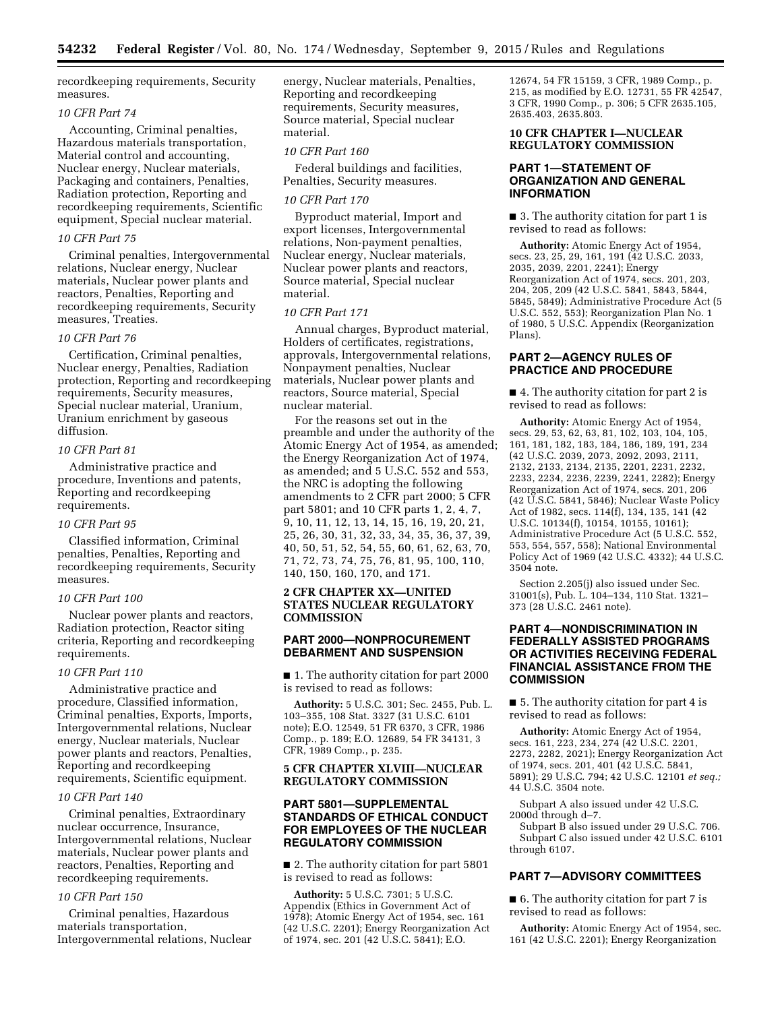recordkeeping requirements, Security measures.

## *10 CFR Part 74*

Accounting, Criminal penalties, Hazardous materials transportation, Material control and accounting, Nuclear energy, Nuclear materials, Packaging and containers, Penalties, Radiation protection, Reporting and recordkeeping requirements, Scientific equipment, Special nuclear material.

#### *10 CFR Part 75*

Criminal penalties, Intergovernmental relations, Nuclear energy, Nuclear materials, Nuclear power plants and reactors, Penalties, Reporting and recordkeeping requirements, Security measures, Treaties.

## *10 CFR Part 76*

Certification, Criminal penalties, Nuclear energy, Penalties, Radiation protection, Reporting and recordkeeping requirements, Security measures, Special nuclear material, Uranium, Uranium enrichment by gaseous diffusion.

#### *10 CFR Part 81*

Administrative practice and procedure, Inventions and patents, Reporting and recordkeeping requirements.

#### *10 CFR Part 95*

Classified information, Criminal penalties, Penalties, Reporting and recordkeeping requirements, Security measures.

#### *10 CFR Part 100*

Nuclear power plants and reactors, Radiation protection, Reactor siting criteria, Reporting and recordkeeping requirements.

## *10 CFR Part 110*

Administrative practice and procedure, Classified information, Criminal penalties, Exports, Imports, Intergovernmental relations, Nuclear energy, Nuclear materials, Nuclear power plants and reactors, Penalties, Reporting and recordkeeping requirements, Scientific equipment.

## *10 CFR Part 140*

Criminal penalties, Extraordinary nuclear occurrence, Insurance, Intergovernmental relations, Nuclear materials, Nuclear power plants and reactors, Penalties, Reporting and recordkeeping requirements.

#### *10 CFR Part 150*

Criminal penalties, Hazardous materials transportation, Intergovernmental relations, Nuclear energy, Nuclear materials, Penalties, Reporting and recordkeeping requirements, Security measures, Source material, Special nuclear material.

## *10 CFR Part 160*

Federal buildings and facilities, Penalties, Security measures.

#### *10 CFR Part 170*

Byproduct material, Import and export licenses, Intergovernmental relations, Non-payment penalties, Nuclear energy, Nuclear materials, Nuclear power plants and reactors, Source material, Special nuclear material.

#### *10 CFR Part 171*

Annual charges, Byproduct material, Holders of certificates, registrations, approvals, Intergovernmental relations, Nonpayment penalties, Nuclear materials, Nuclear power plants and reactors, Source material, Special nuclear material.

For the reasons set out in the preamble and under the authority of the Atomic Energy Act of 1954, as amended; the Energy Reorganization Act of 1974, as amended; and 5 U.S.C. 552 and 553, the NRC is adopting the following amendments to 2 CFR part 2000; 5 CFR part 5801; and 10 CFR parts 1, 2, 4, 7, 9, 10, 11, 12, 13, 14, 15, 16, 19, 20, 21, 25, 26, 30, 31, 32, 33, 34, 35, 36, 37, 39, 40, 50, 51, 52, 54, 55, 60, 61, 62, 63, 70, 71, 72, 73, 74, 75, 76, 81, 95, 100, 110, 140, 150, 160, 170, and 171.

## **2 CFR CHAPTER XX—UNITED STATES NUCLEAR REGULATORY COMMISSION**

# **PART 2000—NONPROCUREMENT DEBARMENT AND SUSPENSION**

■ 1. The authority citation for part 2000 is revised to read as follows:

**Authority:** 5 U.S.C. 301; Sec. 2455, Pub. L. 103–355, 108 Stat. 3327 (31 U.S.C. 6101 note); E.O. 12549, 51 FR 6370, 3 CFR, 1986 Comp., p. 189; E.O. 12689, 54 FR 34131, 3 CFR, 1989 Comp., p. 235.

## **5 CFR CHAPTER XLVIII—NUCLEAR REGULATORY COMMISSION**

# **PART 5801—SUPPLEMENTAL STANDARDS OF ETHICAL CONDUCT FOR EMPLOYEES OF THE NUCLEAR REGULATORY COMMISSION**

■ 2. The authority citation for part 5801 is revised to read as follows:

**Authority:** 5 U.S.C. 7301; 5 U.S.C. Appendix (Ethics in Government Act of 1978); Atomic Energy Act of 1954, sec. 161 (42 U.S.C. 2201); Energy Reorganization Act of 1974, sec. 201 (42 U.S.C. 5841); E.O.

12674, 54 FR 15159, 3 CFR, 1989 Comp., p. 215, as modified by E.O. 12731, 55 FR 42547, 3 CFR, 1990 Comp., p. 306; 5 CFR 2635.105, 2635.403, 2635.803.

## **10 CFR CHAPTER I—NUCLEAR REGULATORY COMMISSION**

## **PART 1—STATEMENT OF ORGANIZATION AND GENERAL INFORMATION**

■ 3. The authority citation for part 1 is revised to read as follows:

**Authority:** Atomic Energy Act of 1954, secs. 23, 25, 29, 161, 191 (42 U.S.C. 2033, 2035, 2039, 2201, 2241); Energy Reorganization Act of 1974, secs. 201, 203, 204, 205, 209 (42 U.S.C. 5841, 5843, 5844, 5845, 5849); Administrative Procedure Act (5 U.S.C. 552, 553); Reorganization Plan No. 1 of 1980, 5 U.S.C. Appendix (Reorganization Plans).

# **PART 2—AGENCY RULES OF PRACTICE AND PROCEDURE**

■ 4. The authority citation for part 2 is revised to read as follows:

**Authority:** Atomic Energy Act of 1954, secs. 29, 53, 62, 63, 81, 102, 103, 104, 105, 161, 181, 182, 183, 184, 186, 189, 191, 234 (42 U.S.C. 2039, 2073, 2092, 2093, 2111, 2132, 2133, 2134, 2135, 2201, 2231, 2232, 2233, 2234, 2236, 2239, 2241, 2282); Energy Reorganization Act of 1974, secs. 201, 206 (42 U.S.C. 5841, 5846); Nuclear Waste Policy Act of 1982, secs. 114(f), 134, 135, 141 (42 U.S.C. 10134(f), 10154, 10155, 10161); Administrative Procedure Act (5 U.S.C. 552, 553, 554, 557, 558); National Environmental Policy Act of 1969 (42 U.S.C. 4332); 44 U.S.C. 3504 note.

Section 2.205(j) also issued under Sec. 31001(s), Pub. L. 104–134, 110 Stat. 1321– 373 (28 U.S.C. 2461 note).

## **PART 4—NONDISCRIMINATION IN FEDERALLY ASSISTED PROGRAMS OR ACTIVITIES RECEIVING FEDERAL FINANCIAL ASSISTANCE FROM THE COMMISSION**

■ 5. The authority citation for part 4 is revised to read as follows:

**Authority:** Atomic Energy Act of 1954, secs. 161, 223, 234, 274 (42 U.S.C. 2201, 2273, 2282, 2021); Energy Reorganization Act of 1974, secs. 201, 401 (42 U.S.C. 5841, 5891); 29 U.S.C. 794; 42 U.S.C. 12101 *et seq.;*  44 U.S.C. 3504 note.

Subpart A also issued under 42 U.S.C. 2000d through d–7.

Subpart B also issued under 29 U.S.C. 706. Subpart C also issued under 42 U.S.C. 6101 through 6107.

## **PART 7—ADVISORY COMMITTEES**

■ 6. The authority citation for part 7 is revised to read as follows:

**Authority:** Atomic Energy Act of 1954, sec. 161 (42 U.S.C. 2201); Energy Reorganization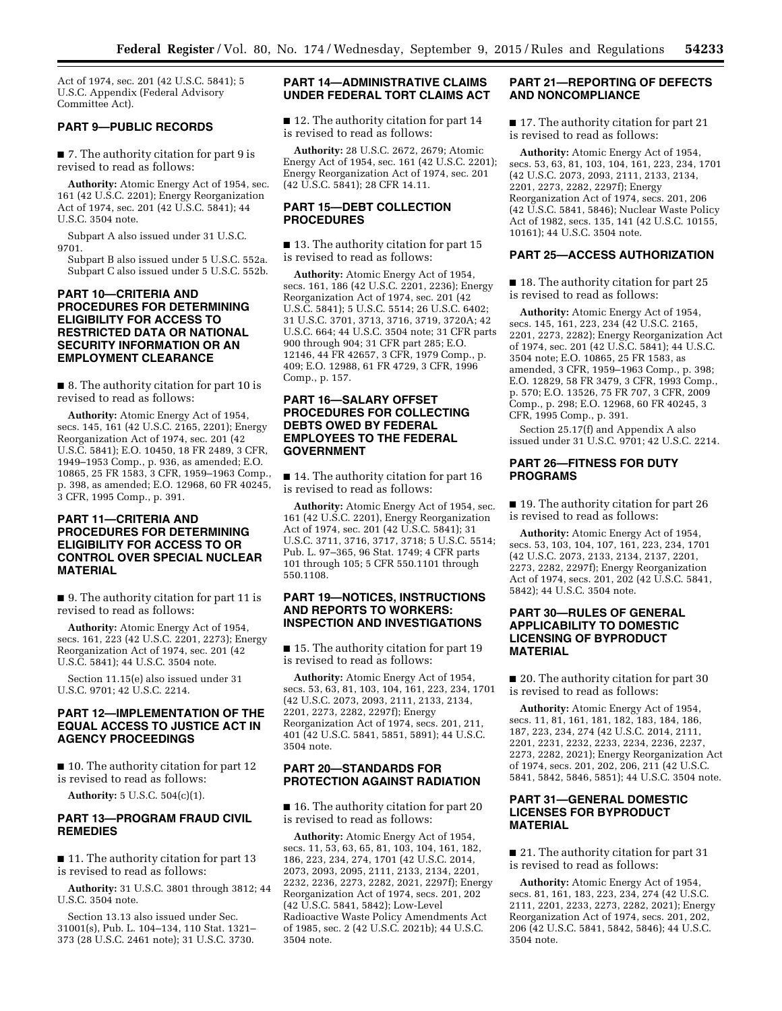Act of 1974, sec. 201 (42 U.S.C. 5841); 5 U.S.C. Appendix (Federal Advisory Committee Act).

## **PART 9—PUBLIC RECORDS**

■ 7. The authority citation for part 9 is revised to read as follows:

**Authority:** Atomic Energy Act of 1954, sec. 161 (42 U.S.C. 2201); Energy Reorganization Act of 1974, sec. 201 (42 U.S.C. 5841); 44 U.S.C. 3504 note.

Subpart A also issued under 31 U.S.C. 9701.

Subpart B also issued under 5 U.S.C. 552a. Subpart C also issued under 5 U.S.C. 552b.

# **PART 10—CRITERIA AND PROCEDURES FOR DETERMINING ELIGIBILITY FOR ACCESS TO RESTRICTED DATA OR NATIONAL SECURITY INFORMATION OR AN EMPLOYMENT CLEARANCE**

■ 8. The authority citation for part 10 is revised to read as follows:

**Authority:** Atomic Energy Act of 1954, secs. 145, 161 (42 U.S.C. 2165, 2201); Energy Reorganization Act of 1974, sec. 201 (42 U.S.C. 5841); E.O. 10450, 18 FR 2489, 3 CFR, 1949–1953 Comp., p. 936, as amended; E.O. 10865, 25 FR 1583, 3 CFR, 1959–1963 Comp., p. 398, as amended; E.O. 12968, 60 FR 40245, 3 CFR, 1995 Comp., p. 391.

# **PART 11—CRITERIA AND PROCEDURES FOR DETERMINING ELIGIBILITY FOR ACCESS TO OR CONTROL OVER SPECIAL NUCLEAR MATERIAL**

■ 9. The authority citation for part 11 is revised to read as follows:

**Authority:** Atomic Energy Act of 1954, secs. 161, 223 (42 U.S.C. 2201, 2273); Energy Reorganization Act of 1974, sec. 201 (42 U.S.C. 5841); 44 U.S.C. 3504 note.

Section 11.15(e) also issued under 31 U.S.C. 9701; 42 U.S.C. 2214.

# **PART 12—IMPLEMENTATION OF THE EQUAL ACCESS TO JUSTICE ACT IN AGENCY PROCEEDINGS**

■ 10. The authority citation for part 12 is revised to read as follows:

**Authority:** 5 U.S.C. 504(c)(1).

## **PART 13—PROGRAM FRAUD CIVIL REMEDIES**

■ 11. The authority citation for part 13 is revised to read as follows:

**Authority:** 31 U.S.C. 3801 through 3812; 44 U.S.C. 3504 note.

Section 13.13 also issued under Sec. 31001(s), Pub. L. 104–134, 110 Stat. 1321– 373 (28 U.S.C. 2461 note); 31 U.S.C. 3730.

# **PART 14—ADMINISTRATIVE CLAIMS UNDER FEDERAL TORT CLAIMS ACT**

■ 12. The authority citation for part 14 is revised to read as follows:

**Authority:** 28 U.S.C. 2672, 2679; Atomic Energy Act of 1954, sec. 161 (42 U.S.C. 2201); Energy Reorganization Act of 1974, sec. 201 (42 U.S.C. 5841); 28 CFR 14.11.

## **PART 15—DEBT COLLECTION PROCEDURES**

■ 13. The authority citation for part 15 is revised to read as follows:

**Authority:** Atomic Energy Act of 1954, secs. 161, 186 (42 U.S.C. 2201, 2236); Energy Reorganization Act of 1974, sec. 201 (42 U.S.C. 5841); 5 U.S.C. 5514; 26 U.S.C. 6402; 31 U.S.C. 3701, 3713, 3716, 3719, 3720A; 42 U.S.C. 664; 44 U.S.C. 3504 note; 31 CFR parts 900 through 904; 31 CFR part 285; E.O. 12146, 44 FR 42657, 3 CFR, 1979 Comp., p. 409; E.O. 12988, 61 FR 4729, 3 CFR, 1996 Comp., p. 157.

# **PART 16—SALARY OFFSET PROCEDURES FOR COLLECTING DEBTS OWED BY FEDERAL EMPLOYEES TO THE FEDERAL GOVERNMENT**

■ 14. The authority citation for part 16 is revised to read as follows:

**Authority:** Atomic Energy Act of 1954, sec. 161 (42 U.S.C. 2201), Energy Reorganization Act of 1974, sec. 201 (42 U.S.C. 5841); 31 U.S.C. 3711, 3716, 3717, 3718; 5 U.S.C. 5514; Pub. L. 97–365, 96 Stat. 1749; 4 CFR parts 101 through 105; 5 CFR 550.1101 through 550.1108.

# **PART 19—NOTICES, INSTRUCTIONS AND REPORTS TO WORKERS: INSPECTION AND INVESTIGATIONS**

■ 15. The authority citation for part 19 is revised to read as follows:

**Authority:** Atomic Energy Act of 1954, secs. 53, 63, 81, 103, 104, 161, 223, 234, 1701 (42 U.S.C. 2073, 2093, 2111, 2133, 2134, 2201, 2273, 2282, 2297f); Energy Reorganization Act of 1974, secs. 201, 211, 401 (42 U.S.C. 5841, 5851, 5891); 44 U.S.C. 3504 note.

# **PART 20—STANDARDS FOR PROTECTION AGAINST RADIATION**

■ 16. The authority citation for part 20 is revised to read as follows:

**Authority:** Atomic Energy Act of 1954, secs. 11, 53, 63, 65, 81, 103, 104, 161, 182, 186, 223, 234, 274, 1701 (42 U.S.C. 2014, 2073, 2093, 2095, 2111, 2133, 2134, 2201, 2232, 2236, 2273, 2282, 2021, 2297f); Energy Reorganization Act of 1974, secs. 201, 202 (42 U.S.C. 5841, 5842); Low-Level Radioactive Waste Policy Amendments Act of 1985, sec. 2 (42 U.S.C. 2021b); 44 U.S.C. 3504 note.

## **PART 21—REPORTING OF DEFECTS AND NONCOMPLIANCE**

■ 17. The authority citation for part 21 is revised to read as follows:

**Authority:** Atomic Energy Act of 1954, secs. 53, 63, 81, 103, 104, 161, 223, 234, 1701 (42 U.S.C. 2073, 2093, 2111, 2133, 2134, 2201, 2273, 2282, 2297f); Energy Reorganization Act of 1974, secs. 201, 206 (42 U.S.C. 5841, 5846); Nuclear Waste Policy Act of 1982, secs. 135, 141 (42 U.S.C. 10155, 10161); 44 U.S.C. 3504 note.

#### **PART 25—ACCESS AUTHORIZATION**

■ 18. The authority citation for part 25 is revised to read as follows:

**Authority:** Atomic Energy Act of 1954, secs. 145, 161, 223, 234 (42 U.S.C. 2165, 2201, 2273, 2282); Energy Reorganization Act of 1974, sec. 201 (42 U.S.C. 5841); 44 U.S.C. 3504 note; E.O. 10865, 25 FR 1583, as amended, 3 CFR, 1959–1963 Comp., p. 398; E.O. 12829, 58 FR 3479, 3 CFR, 1993 Comp., p. 570; E.O. 13526, 75 FR 707, 3 CFR, 2009 Comp., p. 298; E.O. 12968, 60 FR 40245, 3 CFR, 1995 Comp., p. 391.

Section 25.17(f) and Appendix A also issued under 31 U.S.C. 9701; 42 U.S.C. 2214.

# **PART 26—FITNESS FOR DUTY PROGRAMS**

■ 19. The authority citation for part 26 is revised to read as follows:

**Authority:** Atomic Energy Act of 1954, secs. 53, 103, 104, 107, 161, 223, 234, 1701 (42 U.S.C. 2073, 2133, 2134, 2137, 2201, 2273, 2282, 2297f); Energy Reorganization Act of 1974, secs. 201, 202 (42 U.S.C. 5841, 5842); 44 U.S.C. 3504 note.

# **PART 30—RULES OF GENERAL APPLICABILITY TO DOMESTIC LICENSING OF BYPRODUCT MATERIAL**

■ 20. The authority citation for part 30 is revised to read as follows:

**Authority:** Atomic Energy Act of 1954, secs. 11, 81, 161, 181, 182, 183, 184, 186, 187, 223, 234, 274 (42 U.S.C. 2014, 2111, 2201, 2231, 2232, 2233, 2234, 2236, 2237, 2273, 2282, 2021); Energy Reorganization Act of 1974, secs. 201, 202, 206, 211 (42 U.S.C. 5841, 5842, 5846, 5851); 44 U.S.C. 3504 note.

## **PART 31—GENERAL DOMESTIC LICENSES FOR BYPRODUCT MATERIAL**

■ 21. The authority citation for part 31 is revised to read as follows:

**Authority:** Atomic Energy Act of 1954, secs. 81, 161, 183, 223, 234, 274 (42 U.S.C. 2111, 2201, 2233, 2273, 2282, 2021); Energy Reorganization Act of 1974, secs. 201, 202, 206 (42 U.S.C. 5841, 5842, 5846); 44 U.S.C. 3504 note.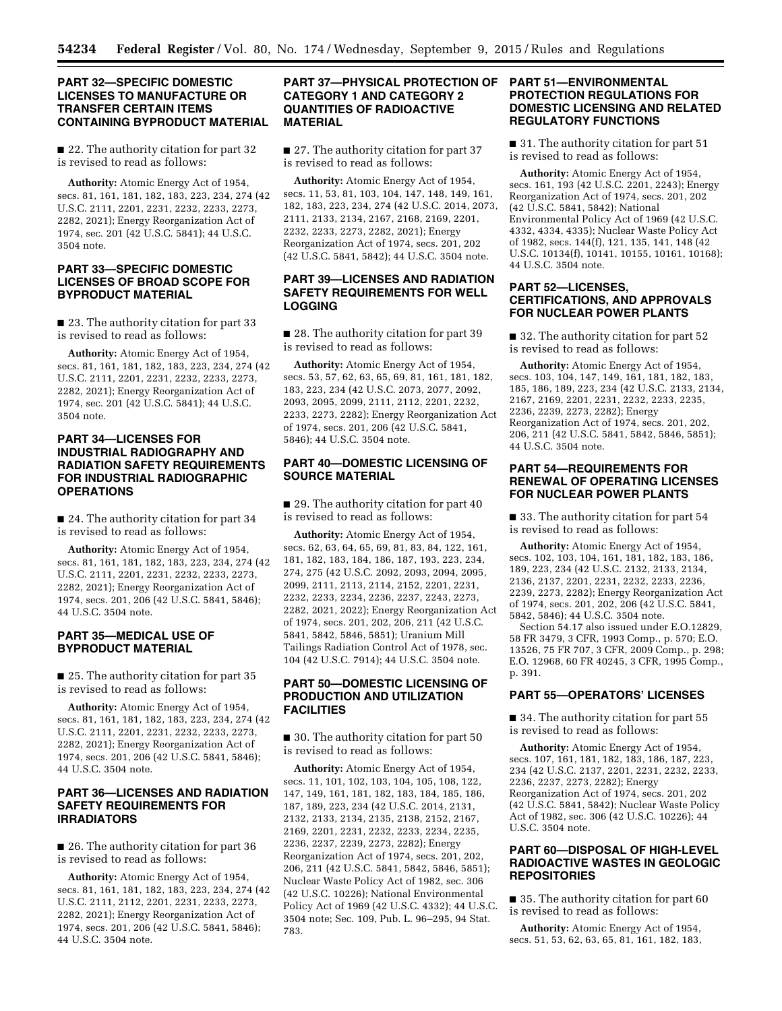## **PART 32—SPECIFIC DOMESTIC LICENSES TO MANUFACTURE OR TRANSFER CERTAIN ITEMS CONTAINING BYPRODUCT MATERIAL**

■ 22. The authority citation for part 32 is revised to read as follows:

**Authority:** Atomic Energy Act of 1954, secs. 81, 161, 181, 182, 183, 223, 234, 274 (42 U.S.C. 2111, 2201, 2231, 2232, 2233, 2273, 2282, 2021); Energy Reorganization Act of 1974, sec. 201 (42 U.S.C. 5841); 44 U.S.C. 3504 note.

# **PART 33—SPECIFIC DOMESTIC LICENSES OF BROAD SCOPE FOR BYPRODUCT MATERIAL**

■ 23. The authority citation for part 33 is revised to read as follows:

**Authority:** Atomic Energy Act of 1954, secs. 81, 161, 181, 182, 183, 223, 234, 274 (42 U.S.C. 2111, 2201, 2231, 2232, 2233, 2273, 2282, 2021); Energy Reorganization Act of 1974, sec. 201 (42 U.S.C. 5841); 44 U.S.C. 3504 note.

# **PART 34—LICENSES FOR INDUSTRIAL RADIOGRAPHY AND RADIATION SAFETY REQUIREMENTS FOR INDUSTRIAL RADIOGRAPHIC OPERATIONS**

■ 24. The authority citation for part 34 is revised to read as follows:

**Authority:** Atomic Energy Act of 1954, secs. 81, 161, 181, 182, 183, 223, 234, 274 (42 U.S.C. 2111, 2201, 2231, 2232, 2233, 2273, 2282, 2021); Energy Reorganization Act of 1974, secs. 201, 206 (42 U.S.C. 5841, 5846); 44 U.S.C. 3504 note.

# **PART 35—MEDICAL USE OF BYPRODUCT MATERIAL**

■ 25. The authority citation for part 35 is revised to read as follows:

**Authority:** Atomic Energy Act of 1954, secs. 81, 161, 181, 182, 183, 223, 234, 274 (42 U.S.C. 2111, 2201, 2231, 2232, 2233, 2273, 2282, 2021); Energy Reorganization Act of 1974, secs. 201, 206 (42 U.S.C. 5841, 5846); 44 U.S.C. 3504 note.

# **PART 36—LICENSES AND RADIATION SAFETY REQUIREMENTS FOR IRRADIATORS**

■ 26. The authority citation for part 36 is revised to read as follows:

**Authority:** Atomic Energy Act of 1954, secs. 81, 161, 181, 182, 183, 223, 234, 274 (42 U.S.C. 2111, 2112, 2201, 2231, 2233, 2273, 2282, 2021); Energy Reorganization Act of 1974, secs. 201, 206 (42 U.S.C. 5841, 5846); 44 U.S.C. 3504 note.

# **PART 37—PHYSICAL PROTECTION OF CATEGORY 1 AND CATEGORY 2 QUANTITIES OF RADIOACTIVE MATERIAL**

■ 27. The authority citation for part 37 is revised to read as follows:

**Authority:** Atomic Energy Act of 1954, secs. 11, 53, 81, 103, 104, 147, 148, 149, 161, 182, 183, 223, 234, 274 (42 U.S.C. 2014, 2073, 2111, 2133, 2134, 2167, 2168, 2169, 2201, 2232, 2233, 2273, 2282, 2021); Energy Reorganization Act of 1974, secs. 201, 202 (42 U.S.C. 5841, 5842); 44 U.S.C. 3504 note.

# **PART 39—LICENSES AND RADIATION SAFETY REQUIREMENTS FOR WELL LOGGING**

■ 28. The authority citation for part 39 is revised to read as follows:

**Authority:** Atomic Energy Act of 1954, secs. 53, 57, 62, 63, 65, 69, 81, 161, 181, 182, 183, 223, 234 (42 U.S.C. 2073, 2077, 2092, 2093, 2095, 2099, 2111, 2112, 2201, 2232, 2233, 2273, 2282); Energy Reorganization Act of 1974, secs. 201, 206 (42 U.S.C. 5841, 5846); 44 U.S.C. 3504 note.

# **PART 40—DOMESTIC LICENSING OF SOURCE MATERIAL**

■ 29. The authority citation for part 40 is revised to read as follows:

**Authority:** Atomic Energy Act of 1954, secs. 62, 63, 64, 65, 69, 81, 83, 84, 122, 161, 181, 182, 183, 184, 186, 187, 193, 223, 234, 274, 275 (42 U.S.C. 2092, 2093, 2094, 2095, 2099, 2111, 2113, 2114, 2152, 2201, 2231, 2232, 2233, 2234, 2236, 2237, 2243, 2273, 2282, 2021, 2022); Energy Reorganization Act of 1974, secs. 201, 202, 206, 211 (42 U.S.C. 5841, 5842, 5846, 5851); Uranium Mill Tailings Radiation Control Act of 1978, sec. 104 (42 U.S.C. 7914); 44 U.S.C. 3504 note.

# **PART 50—DOMESTIC LICENSING OF PRODUCTION AND UTILIZATION FACILITIES**

■ 30. The authority citation for part 50 is revised to read as follows:

**Authority:** Atomic Energy Act of 1954, secs. 11, 101, 102, 103, 104, 105, 108, 122, 147, 149, 161, 181, 182, 183, 184, 185, 186, 187, 189, 223, 234 (42 U.S.C. 2014, 2131, 2132, 2133, 2134, 2135, 2138, 2152, 2167, 2169, 2201, 2231, 2232, 2233, 2234, 2235, 2236, 2237, 2239, 2273, 2282); Energy Reorganization Act of 1974, secs. 201, 202, 206, 211 (42 U.S.C. 5841, 5842, 5846, 5851); Nuclear Waste Policy Act of 1982, sec. 306 (42 U.S.C. 10226); National Environmental Policy Act of 1969 (42 U.S.C. 4332); 44 U.S.C. 3504 note; Sec. 109, Pub. L. 96–295, 94 Stat. 783.

# **PART 51—ENVIRONMENTAL PROTECTION REGULATIONS FOR DOMESTIC LICENSING AND RELATED REGULATORY FUNCTIONS**

■ 31. The authority citation for part 51 is revised to read as follows:

**Authority:** Atomic Energy Act of 1954, secs. 161, 193 (42 U.S.C. 2201, 2243); Energy Reorganization Act of 1974, secs. 201, 202 (42 U.S.C. 5841, 5842); National Environmental Policy Act of 1969 (42 U.S.C. 4332, 4334, 4335); Nuclear Waste Policy Act of 1982, secs. 144(f), 121, 135, 141, 148 (42 U.S.C. 10134(f), 10141, 10155, 10161, 10168); 44 U.S.C. 3504 note.

## **PART 52—LICENSES, CERTIFICATIONS, AND APPROVALS FOR NUCLEAR POWER PLANTS**

■ 32. The authority citation for part 52 is revised to read as follows:

**Authority:** Atomic Energy Act of 1954, secs. 103, 104, 147, 149, 161, 181, 182, 183, 185, 186, 189, 223, 234 (42 U.S.C. 2133, 2134, 2167, 2169, 2201, 2231, 2232, 2233, 2235, 2236, 2239, 2273, 2282); Energy Reorganization Act of 1974, secs. 201, 202, 206, 211 (42 U.S.C. 5841, 5842, 5846, 5851); 44 U.S.C. 3504 note.

# **PART 54—REQUIREMENTS FOR RENEWAL OF OPERATING LICENSES FOR NUCLEAR POWER PLANTS**

■ 33. The authority citation for part 54 is revised to read as follows:

**Authority:** Atomic Energy Act of 1954, secs. 102, 103, 104, 161, 181, 182, 183, 186, 189, 223, 234 (42 U.S.C. 2132, 2133, 2134, 2136, 2137, 2201, 2231, 2232, 2233, 2236, 2239, 2273, 2282); Energy Reorganization Act of 1974, secs. 201, 202, 206 (42 U.S.C. 5841, 5842, 5846); 44 U.S.C. 3504 note.

Section 54.17 also issued under E.O.12829, 58 FR 3479, 3 CFR, 1993 Comp., p. 570; E.O. 13526, 75 FR 707, 3 CFR, 2009 Comp., p. 298; E.O. 12968, 60 FR 40245, 3 CFR, 1995 Comp., p. 391.

# **PART 55—OPERATORS' LICENSES**

■ 34. The authority citation for part 55 is revised to read as follows:

**Authority:** Atomic Energy Act of 1954, secs. 107, 161, 181, 182, 183, 186, 187, 223, 234 (42 U.S.C. 2137, 2201, 2231, 2232, 2233, 2236, 2237, 2273, 2282); Energy Reorganization Act of 1974, secs. 201, 202 (42 U.S.C. 5841, 5842); Nuclear Waste Policy Act of 1982, sec. 306 (42 U.S.C. 10226); 44 U.S.C. 3504 note.

# **PART 60—DISPOSAL OF HIGH-LEVEL RADIOACTIVE WASTES IN GEOLOGIC REPOSITORIES**

■ 35. The authority citation for part 60 is revised to read as follows:

**Authority:** Atomic Energy Act of 1954, secs. 51, 53, 62, 63, 65, 81, 161, 182, 183,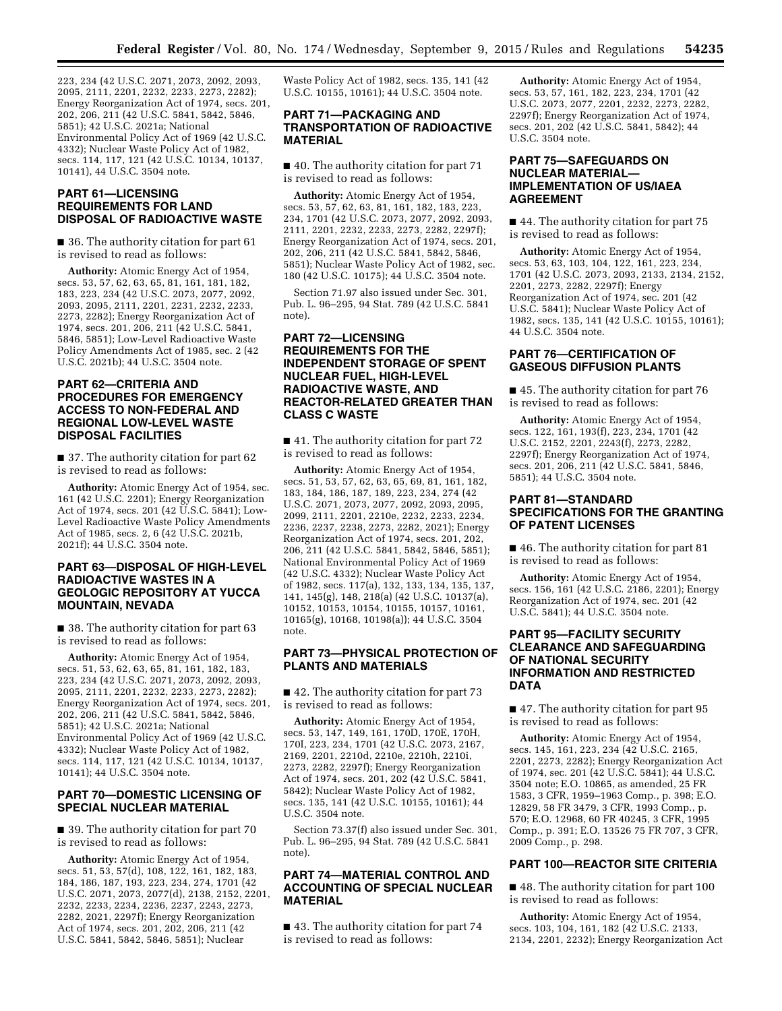223, 234 (42 U.S.C. 2071, 2073, 2092, 2093, 2095, 2111, 2201, 2232, 2233, 2273, 2282); Energy Reorganization Act of 1974, secs. 201, 202, 206, 211 (42 U.S.C. 5841, 5842, 5846, 5851); 42 U.S.C. 2021a; National Environmental Policy Act of 1969 (42 U.S.C. 4332); Nuclear Waste Policy Act of 1982, secs. 114, 117, 121 (42 U.S.C. 10134, 10137, 10141), 44 U.S.C. 3504 note.

## **PART 61—LICENSING REQUIREMENTS FOR LAND DISPOSAL OF RADIOACTIVE WASTE**

■ 36. The authority citation for part 61 is revised to read as follows:

**Authority:** Atomic Energy Act of 1954, secs. 53, 57, 62, 63, 65, 81, 161, 181, 182, 183, 223, 234 (42 U.S.C. 2073, 2077, 2092, 2093, 2095, 2111, 2201, 2231, 2232, 2233, 2273, 2282); Energy Reorganization Act of 1974, secs. 201, 206, 211 (42 U.S.C. 5841, 5846, 5851); Low-Level Radioactive Waste Policy Amendments Act of 1985, sec. 2 (42 U.S.C. 2021b); 44 U.S.C. 3504 note.

## **PART 62—CRITERIA AND PROCEDURES FOR EMERGENCY ACCESS TO NON-FEDERAL AND REGIONAL LOW-LEVEL WASTE DISPOSAL FACILITIES**

■ 37. The authority citation for part 62 is revised to read as follows:

**Authority:** Atomic Energy Act of 1954, sec. 161 (42 U.S.C. 2201); Energy Reorganization Act of 1974, secs. 201 (42 U.S.C. 5841); Low-Level Radioactive Waste Policy Amendments Act of 1985, secs. 2, 6 (42 U.S.C. 2021b, 2021f); 44 U.S.C. 3504 note.

## **PART 63—DISPOSAL OF HIGH-LEVEL RADIOACTIVE WASTES IN A GEOLOGIC REPOSITORY AT YUCCA MOUNTAIN, NEVADA**

■ 38. The authority citation for part 63 is revised to read as follows:

**Authority:** Atomic Energy Act of 1954, secs. 51, 53, 62, 63, 65, 81, 161, 182, 183, 223, 234 (42 U.S.C. 2071, 2073, 2092, 2093, 2095, 2111, 2201, 2232, 2233, 2273, 2282); Energy Reorganization Act of 1974, secs. 201, 202, 206, 211 (42 U.S.C. 5841, 5842, 5846, 5851); 42 U.S.C. 2021a; National Environmental Policy Act of 1969 (42 U.S.C. 4332); Nuclear Waste Policy Act of 1982, secs. 114, 117, 121 (42 U.S.C. 10134, 10137, 10141); 44 U.S.C. 3504 note.

## **PART 70—DOMESTIC LICENSING OF SPECIAL NUCLEAR MATERIAL**

■ 39. The authority citation for part 70 is revised to read as follows:

**Authority:** Atomic Energy Act of 1954, secs. 51, 53, 57(d), 108, 122, 161, 182, 183, 184, 186, 187, 193, 223, 234, 274, 1701 (42 U.S.C. 2071, 2073, 2077(d), 2138, 2152, 2201, 2232, 2233, 2234, 2236, 2237, 2243, 2273, 2282, 2021, 2297f); Energy Reorganization Act of 1974, secs. 201, 202, 206, 211 (42 U.S.C. 5841, 5842, 5846, 5851); Nuclear

Waste Policy Act of 1982, secs. 135, 141 (42 U.S.C. 10155, 10161); 44 U.S.C. 3504 note.

## **PART 71—PACKAGING AND TRANSPORTATION OF RADIOACTIVE MATERIAL**

■ 40. The authority citation for part 71 is revised to read as follows:

**Authority:** Atomic Energy Act of 1954, secs. 53, 57, 62, 63, 81, 161, 182, 183, 223, 234, 1701 (42 U.S.C. 2073, 2077, 2092, 2093, 2111, 2201, 2232, 2233, 2273, 2282, 2297f); Energy Reorganization Act of 1974, secs. 201, 202, 206, 211 (42 U.S.C. 5841, 5842, 5846, 5851); Nuclear Waste Policy Act of 1982, sec. 180 (42 U.S.C. 10175); 44 U.S.C. 3504 note.

Section 71.97 also issued under Sec. 301, Pub. L. 96–295, 94 Stat. 789 (42 U.S.C. 5841 note).

# **PART 72—LICENSING REQUIREMENTS FOR THE INDEPENDENT STORAGE OF SPENT NUCLEAR FUEL, HIGH-LEVEL RADIOACTIVE WASTE, AND REACTOR-RELATED GREATER THAN CLASS C WASTE**

■ 41. The authority citation for part 72 is revised to read as follows:

**Authority:** Atomic Energy Act of 1954, secs. 51, 53, 57, 62, 63, 65, 69, 81, 161, 182, 183, 184, 186, 187, 189, 223, 234, 274 (42 U.S.C. 2071, 2073, 2077, 2092, 2093, 2095, 2099, 2111, 2201, 2210e, 2232, 2233, 2234, 2236, 2237, 2238, 2273, 2282, 2021); Energy Reorganization Act of 1974, secs. 201, 202, 206, 211 (42 U.S.C. 5841, 5842, 5846, 5851); National Environmental Policy Act of 1969 (42 U.S.C. 4332); Nuclear Waste Policy Act of 1982, secs. 117(a), 132, 133, 134, 135, 137, 141, 145(g), 148, 218(a) (42 U.S.C. 10137(a), 10152, 10153, 10154, 10155, 10157, 10161, 10165(g), 10168, 10198(a)); 44 U.S.C. 3504 note.

# **PART 73—PHYSICAL PROTECTION OF PLANTS AND MATERIALS**

■ 42. The authority citation for part 73 is revised to read as follows:

**Authority:** Atomic Energy Act of 1954, secs. 53, 147, 149, 161, 170D, 170E, 170H, 170I, 223, 234, 1701 (42 U.S.C. 2073, 2167, 2169, 2201, 2210d, 2210e, 2210h, 2210i, 2273, 2282, 2297f); Energy Reorganization Act of 1974, secs. 201, 202 (42 U.S.C. 5841, 5842); Nuclear Waste Policy Act of 1982, secs. 135, 141 (42 U.S.C. 10155, 10161); 44 U.S.C. 3504 note.

Section 73.37(f) also issued under Sec. 301, Pub. L. 96–295, 94 Stat. 789 (42 U.S.C. 5841 note).

## **PART 74—MATERIAL CONTROL AND ACCOUNTING OF SPECIAL NUCLEAR MATERIAL**

■ 43. The authority citation for part 74 is revised to read as follows:

**Authority:** Atomic Energy Act of 1954, secs. 53, 57, 161, 182, 223, 234, 1701 (42 U.S.C. 2073, 2077, 2201, 2232, 2273, 2282, 2297f); Energy Reorganization Act of 1974, secs. 201, 202 (42 U.S.C. 5841, 5842); 44 U.S.C. 3504 note.

# **PART 75—SAFEGUARDS ON NUCLEAR MATERIAL— IMPLEMENTATION OF US/IAEA AGREEMENT**

■ 44. The authority citation for part 75 is revised to read as follows:

**Authority:** Atomic Energy Act of 1954, secs. 53, 63, 103, 104, 122, 161, 223, 234, 1701 (42 U.S.C. 2073, 2093, 2133, 2134, 2152, 2201, 2273, 2282, 2297f); Energy Reorganization Act of 1974, sec. 201 (42 U.S.C. 5841); Nuclear Waste Policy Act of 1982, secs. 135, 141 (42 U.S.C. 10155, 10161); 44 U.S.C. 3504 note.

# **PART 76—CERTIFICATION OF GASEOUS DIFFUSION PLANTS**

■ 45. The authority citation for part 76 is revised to read as follows:

**Authority:** Atomic Energy Act of 1954, secs. 122, 161, 193(f), 223, 234, 1701 (42 U.S.C. 2152, 2201, 2243(f), 2273, 2282, 2297f); Energy Reorganization Act of 1974, secs. 201, 206, 211 (42 U.S.C. 5841, 5846, 5851); 44 U.S.C. 3504 note.

# **PART 81—STANDARD SPECIFICATIONS FOR THE GRANTING OF PATENT LICENSES**

■ 46. The authority citation for part 81 is revised to read as follows:

**Authority:** Atomic Energy Act of 1954, secs. 156, 161 (42 U.S.C. 2186, 2201); Energy Reorganization Act of 1974, sec. 201 (42 U.S.C. 5841); 44 U.S.C. 3504 note.

# **PART 95—FACILITY SECURITY CLEARANCE AND SAFEGUARDING OF NATIONAL SECURITY INFORMATION AND RESTRICTED DATA**

■ 47. The authority citation for part 95 is revised to read as follows:

**Authority:** Atomic Energy Act of 1954, secs. 145, 161, 223, 234 (42 U.S.C. 2165, 2201, 2273, 2282); Energy Reorganization Act of 1974, sec. 201 (42 U.S.C. 5841); 44 U.S.C. 3504 note; E.O. 10865, as amended, 25 FR 1583, 3 CFR, 1959–1963 Comp., p. 398; E.O. 12829, 58 FR 3479, 3 CFR, 1993 Comp., p. 570; E.O. 12968, 60 FR 40245, 3 CFR, 1995 Comp., p. 391; E.O. 13526 75 FR 707, 3 CFR, 2009 Comp., p. 298.

# **PART 100—REACTOR SITE CRITERIA**

■ 48. The authority citation for part 100 is revised to read as follows:

**Authority:** Atomic Energy Act of 1954, secs. 103, 104, 161, 182 (42 U.S.C. 2133, 2134, 2201, 2232); Energy Reorganization Act